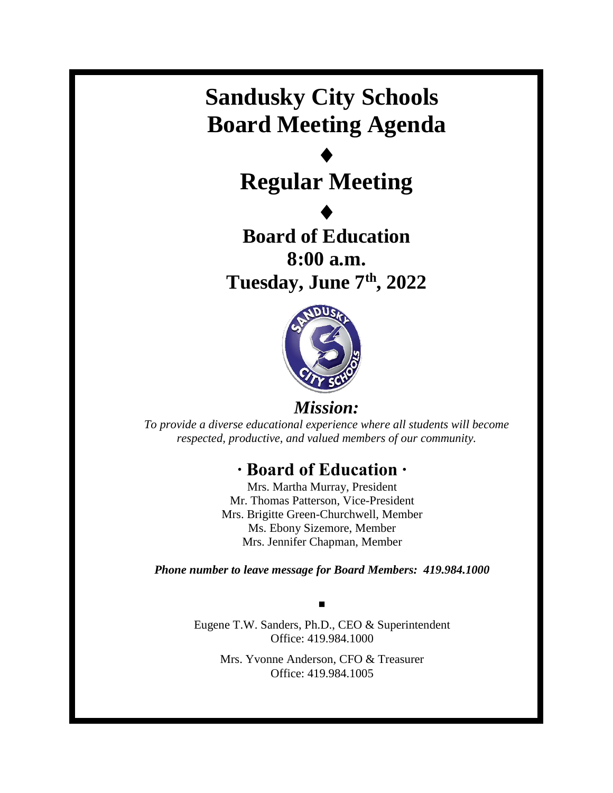## **Sandusky City Schools Board Meeting Agenda**

# $\blacklozenge$ **Regular Meeting**

 $\blacklozenge$ **Board of Education 8:00 a.m. Tuesday, June 7 th, 2022**



*Mission:*

*To provide a diverse educational experience where all students will become respected, productive, and valued members of our community.*

## **∙ Board of Education ∙**

Mrs. Martha Murray, President Mr. Thomas Patterson, Vice-President Mrs. Brigitte Green-Churchwell, Member Ms. Ebony Sizemore, Member Mrs. Jennifer Chapman, Member

*Phone number to leave message for Board Members: 419.984.1000*

▪ Eugene T.W. Sanders, Ph.D., CEO & Superintendent Office: 419.984.1000

> Mrs. Yvonne Anderson, CFO & Treasurer Office: 419.984.1005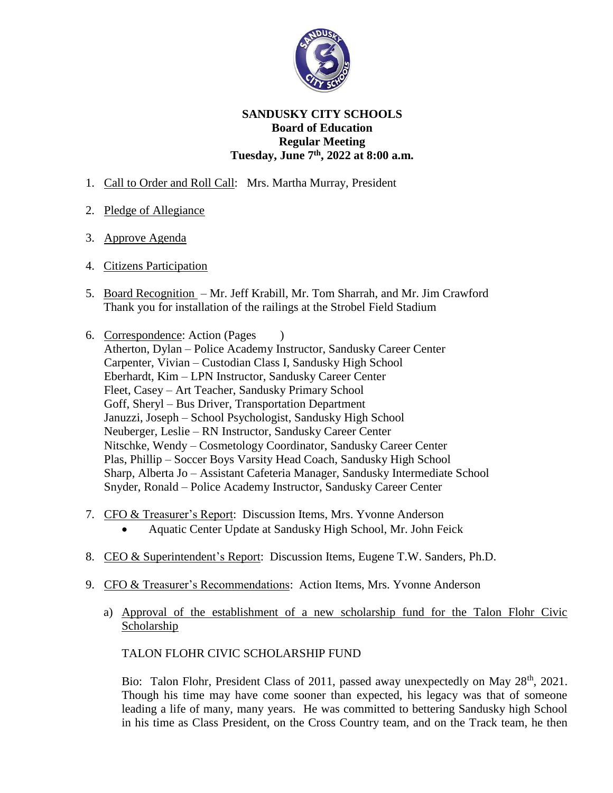

### **SANDUSKY CITY SCHOOLS Board of Education Regular Meeting Tuesday, June 7 th, 2022 at 8:00 a.m.**

- 1. Call to Order and Roll Call: Mrs. Martha Murray, President
- 2. Pledge of Allegiance
- 3. Approve Agenda
- 4. Citizens Participation
- 5. Board Recognition Mr. Jeff Krabill, Mr. Tom Sharrah, and Mr. Jim Crawford Thank you for installation of the railings at the Strobel Field Stadium
- 6. Correspondence: Action (Pages ) Atherton, Dylan – Police Academy Instructor, Sandusky Career Center Carpenter, Vivian – Custodian Class I, Sandusky High School Eberhardt, Kim – LPN Instructor, Sandusky Career Center Fleet, Casey – Art Teacher, Sandusky Primary School Goff, Sheryl – Bus Driver, Transportation Department Januzzi, Joseph – School Psychologist, Sandusky High School Neuberger, Leslie – RN Instructor, Sandusky Career Center Nitschke, Wendy – Cosmetology Coordinator, Sandusky Career Center Plas, Phillip – Soccer Boys Varsity Head Coach, Sandusky High School Sharp, Alberta Jo – Assistant Cafeteria Manager, Sandusky Intermediate School Snyder, Ronald – Police Academy Instructor, Sandusky Career Center
- 7. CFO & Treasurer's Report: Discussion Items, Mrs. Yvonne Anderson
	- Aquatic Center Update at Sandusky High School, Mr. John Feick
- 8. CEO & Superintendent's Report: Discussion Items, Eugene T.W. Sanders, Ph.D.
- 9. CFO & Treasurer's Recommendations: Action Items, Mrs. Yvonne Anderson
	- a) Approval of the establishment of a new scholarship fund for the Talon Flohr Civic Scholarship

## TALON FLOHR CIVIC SCHOLARSHIP FUND

Bio: Talon Flohr, President Class of 2011, passed away unexpectedly on May 28<sup>th</sup>, 2021. Though his time may have come sooner than expected, his legacy was that of someone leading a life of many, many years. He was committed to bettering Sandusky high School in his time as Class President, on the Cross Country team, and on the Track team, he then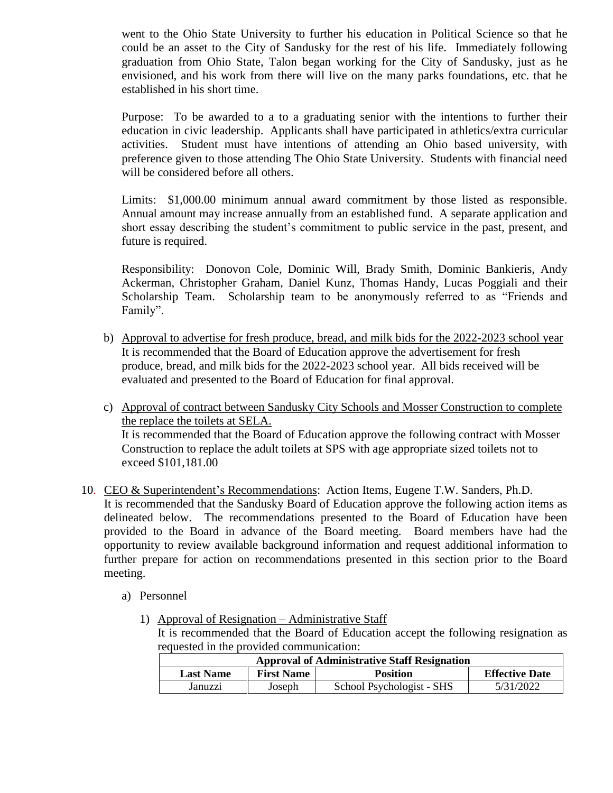went to the Ohio State University to further his education in Political Science so that he could be an asset to the City of Sandusky for the rest of his life. Immediately following graduation from Ohio State, Talon began working for the City of Sandusky, just as he envisioned, and his work from there will live on the many parks foundations, etc. that he established in his short time.

Purpose: To be awarded to a to a graduating senior with the intentions to further their education in civic leadership. Applicants shall have participated in athletics/extra curricular activities. Student must have intentions of attending an Ohio based university, with preference given to those attending The Ohio State University. Students with financial need will be considered before all others.

Limits: \$1,000.00 minimum annual award commitment by those listed as responsible. Annual amount may increase annually from an established fund. A separate application and short essay describing the student's commitment to public service in the past, present, and future is required.

Responsibility: Donovon Cole, Dominic Will, Brady Smith, Dominic Bankieris, Andy Ackerman, Christopher Graham, Daniel Kunz, Thomas Handy, Lucas Poggiali and their Scholarship Team. Scholarship team to be anonymously referred to as "Friends and Family".

- b) Approval to advertise for fresh produce, bread, and milk bids for the 2022-2023 school year It is recommended that the Board of Education approve the advertisement for fresh produce, bread, and milk bids for the 2022-2023 school year. All bids received will be evaluated and presented to the Board of Education for final approval.
- c) Approval of contract between Sandusky City Schools and Mosser Construction to complete the replace the toilets at SELA. It is recommended that the Board of Education approve the following contract with Mosser Construction to replace the adult toilets at SPS with age appropriate sized toilets not to exceed \$101,181.00
- 10. CEO & Superintendent's Recommendations: Action Items, Eugene T.W. Sanders, Ph.D. It is recommended that the Sandusky Board of Education approve the following action items as delineated below. The recommendations presented to the Board of Education have been provided to the Board in advance of the Board meeting. Board members have had the opportunity to review available background information and request additional information to further prepare for action on recommendations presented in this section prior to the Board meeting.
	- a) Personnel
		- 1) Approval of Resignation Administrative Staff

It is recommended that the Board of Education accept the following resignation as requested in the provided communication:

|                                                          | <b>Approval of Administrative Staff Resignation</b> |        |                           |                       |  |  |
|----------------------------------------------------------|-----------------------------------------------------|--------|---------------------------|-----------------------|--|--|
| <b>First Name</b><br><b>Position</b><br><b>Last Name</b> |                                                     |        |                           | <b>Effective Date</b> |  |  |
|                                                          | Januzzi                                             | Joseph | School Psychologist - SHS | 5/31/2022             |  |  |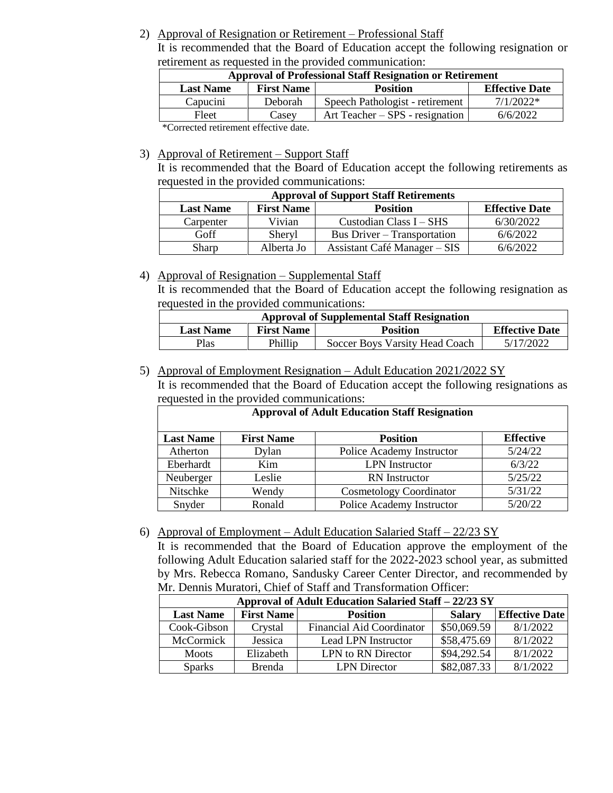### 2) Approval of Resignation or Retirement – Professional Staff

It is recommended that the Board of Education accept the following resignation or retirement as requested in the provided communication:

| <b>Approval of Professional Staff Resignation or Retirement</b>                   |                                                                                                                          |                                 |             |  |  |  |
|-----------------------------------------------------------------------------------|--------------------------------------------------------------------------------------------------------------------------|---------------------------------|-------------|--|--|--|
| <b>Effective Date</b><br><b>First Name</b><br><b>Position</b><br><b>Last Name</b> |                                                                                                                          |                                 |             |  |  |  |
| Capucini<br>Deborah                                                               |                                                                                                                          | Speech Pathologist - retirement | $7/1/2022*$ |  |  |  |
| Fleet                                                                             | Casey                                                                                                                    | Art Teacher – SPS - resignation | 6/6/2022    |  |  |  |
|                                                                                   | $\ast$ $\alpha$ and $\alpha$ is the set of $\alpha$ is the set of $\alpha$ is the set of $\alpha$ is the set of $\alpha$ |                                 |             |  |  |  |

\*Corrected retirement effective date.

#### 3) Approval of Retirement – Support Staff

It is recommended that the Board of Education accept the following retirements as requested in the provided communications:

| <b>Approval of Support Staff Retirements</b>                                      |            |                              |           |  |  |  |
|-----------------------------------------------------------------------------------|------------|------------------------------|-----------|--|--|--|
| <b>First Name</b><br><b>Effective Date</b><br><b>Position</b><br><b>Last Name</b> |            |                              |           |  |  |  |
| Carpenter                                                                         | Vivian     | Custodian Class $I - SHS$    | 6/30/2022 |  |  |  |
| Goff                                                                              | Sheryl     | Bus Driver – Transportation  | 6/6/2022  |  |  |  |
| Sharp                                                                             | Alberta Jo | Assistant Café Manager – SIS | 6/6/2022  |  |  |  |

## 4) Approval of Resignation – Supplemental Staff

It is recommended that the Board of Education accept the following resignation as requested in the provided communications:

|                                                                                   | <b>Approval of Supplemental Staff Resignation</b> |                                |           |  |  |  |
|-----------------------------------------------------------------------------------|---------------------------------------------------|--------------------------------|-----------|--|--|--|
| <b>Effective Date</b><br><b>First Name</b><br><b>Position</b><br><b>Last Name</b> |                                                   |                                |           |  |  |  |
| Plas                                                                              | Phillip                                           | Soccer Boys Varsity Head Coach | 5/17/2022 |  |  |  |

## 5) Approval of Employment Resignation – Adult Education 2021/2022 SY

It is recommended that the Board of Education accept the following resignations as requested in the provided communications:

| <b>Approval of Adult Education Staff Resignation</b>                         |                                     |                                |         |  |  |  |  |
|------------------------------------------------------------------------------|-------------------------------------|--------------------------------|---------|--|--|--|--|
| <b>First Name</b><br><b>Effective</b><br><b>Last Name</b><br><b>Position</b> |                                     |                                |         |  |  |  |  |
| Atherton                                                                     | Dylan                               | Police Academy Instructor      | 5/24/22 |  |  |  |  |
| Eberhardt<br>Kim                                                             |                                     | <b>LPN</b> Instructor          | 6/3/22  |  |  |  |  |
| Neuberger<br>Leslie                                                          |                                     | <b>RN</b> Instructor           | 5/25/22 |  |  |  |  |
| Nitschke<br>Wendy                                                            |                                     | <b>Cosmetology Coordinator</b> | 5/31/22 |  |  |  |  |
| Snyder                                                                       | Ronald<br>Police Academy Instructor |                                |         |  |  |  |  |

## 6) Approval of Employment – Adult Education Salaried Staff – 22/23 SY

It is recommended that the Board of Education approve the employment of the following Adult Education salaried staff for the 2022-2023 school year, as submitted by Mrs. Rebecca Romano, Sandusky Career Center Director, and recommended by Mr. Dennis Muratori, Chief of Staff and Transformation Officer:

| Approval of Adult Education Salaried Staff - 22/23 SY                                              |               |                                  |             |          |  |  |
|----------------------------------------------------------------------------------------------------|---------------|----------------------------------|-------------|----------|--|--|
| <b>First Name</b><br><b>Effective Date</b><br><b>Position</b><br><b>Last Name</b><br><b>Salary</b> |               |                                  |             |          |  |  |
| Cook-Gibson                                                                                        | Crystal       | <b>Financial Aid Coordinator</b> | \$50,069.59 | 8/1/2022 |  |  |
| McCormick                                                                                          | Jessica       | Lead LPN Instructor              | \$58,475.69 | 8/1/2022 |  |  |
| <b>Moots</b>                                                                                       | Elizabeth     | LPN to RN Director               | \$94,292.54 | 8/1/2022 |  |  |
| <b>Sparks</b>                                                                                      | <b>Brenda</b> | <b>LPN</b> Director              | \$82,087.33 | 8/1/2022 |  |  |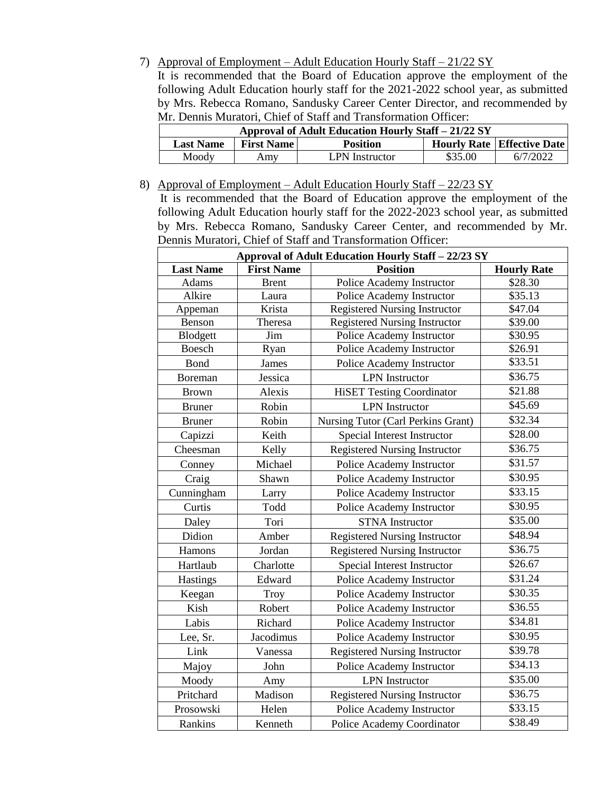#### 7) Approval of Employment – Adult Education Hourly Staff – 21/22 SY

It is recommended that the Board of Education approve the employment of the following Adult Education hourly staff for the 2021-2022 school year, as submitted by Mrs. Rebecca Romano, Sandusky Career Center Director, and recommended by Mr. Dennis Muratori, Chief of Staff and Transformation Officer:

| Approval of Adult Education Hourly Staff - 21/22 SY |                   |                       |         |                                   |  |  |
|-----------------------------------------------------|-------------------|-----------------------|---------|-----------------------------------|--|--|
| <b>Last Name</b>                                    | <b>First Name</b> | <b>Position</b>       |         | <b>Hourly Rate Effective Date</b> |  |  |
| Moody                                               | Amy               | <b>LPN</b> Instructor | \$35.00 | 6/7/2022                          |  |  |

### 8) Approval of Employment – Adult Education Hourly Staff – 22/23 SY

 It is recommended that the Board of Education approve the employment of the following Adult Education hourly staff for the 2022-2023 school year, as submitted by Mrs. Rebecca Romano, Sandusky Career Center, and recommended by Mr. Dennis Muratori, Chief of Staff and Transformation Officer:

| Approval of Adult Education Hourly Staff - 22/23 SY |                   |                                      |                    |  |  |
|-----------------------------------------------------|-------------------|--------------------------------------|--------------------|--|--|
| <b>Last Name</b>                                    | <b>First Name</b> | <b>Position</b>                      | <b>Hourly Rate</b> |  |  |
| Adams                                               | <b>Brent</b>      | Police Academy Instructor            | \$28.30            |  |  |
| Alkire                                              | Laura             | Police Academy Instructor            | \$35.13            |  |  |
| Appeman                                             | Krista            | Registered Nursing Instructor        | \$47.04            |  |  |
| Benson                                              | Theresa           | <b>Registered Nursing Instructor</b> | \$39.00            |  |  |
| Blodgett                                            | Jim               | Police Academy Instructor            | \$30.95            |  |  |
| <b>Boesch</b>                                       | Ryan              | Police Academy Instructor            | \$26.91            |  |  |
| Bond                                                | James             | Police Academy Instructor            | \$33.51            |  |  |
| Boreman                                             | Jessica           | <b>LPN</b> Instructor                | \$36.75            |  |  |
| <b>Brown</b>                                        | Alexis            | <b>HiSET Testing Coordinator</b>     | \$21.88            |  |  |
| <b>Bruner</b>                                       | Robin             | <b>LPN</b> Instructor                | \$45.69            |  |  |
| <b>Bruner</b>                                       | Robin             | Nursing Tutor (Carl Perkins Grant)   | \$32.34            |  |  |
| Capizzi                                             | Keith             | Special Interest Instructor          | \$28.00            |  |  |
| Cheesman                                            | Kelly             | <b>Registered Nursing Instructor</b> | \$36.75            |  |  |
| Conney                                              | Michael           | Police Academy Instructor            | \$31.57            |  |  |
| Craig                                               | Shawn             | Police Academy Instructor            | \$30.95            |  |  |
| Cunningham                                          | Larry             | Police Academy Instructor            | \$33.15            |  |  |
| Curtis                                              | Todd              | Police Academy Instructor            | \$30.95            |  |  |
| Daley                                               | Tori              | <b>STNA</b> Instructor               | \$35.00            |  |  |
| Didion                                              | Amber             | <b>Registered Nursing Instructor</b> | \$48.94            |  |  |
| Hamons                                              | Jordan            | <b>Registered Nursing Instructor</b> | \$36.75            |  |  |
| Hartlaub                                            | Charlotte         | Special Interest Instructor          | \$26.67            |  |  |
| Hastings                                            | Edward            | Police Academy Instructor            | \$31.24            |  |  |
| Keegan                                              | Troy              | Police Academy Instructor            | \$30.35            |  |  |
| Kish                                                | Robert            | Police Academy Instructor            | \$36.55            |  |  |
| Labis                                               | Richard           | Police Academy Instructor            | \$34.81            |  |  |
| Lee, Sr.                                            | Jacodimus         | Police Academy Instructor            | \$30.95            |  |  |
| Link                                                | Vanessa           | <b>Registered Nursing Instructor</b> | \$39.78            |  |  |
| Majoy                                               | John              | Police Academy Instructor            | \$34.13            |  |  |
| Moody                                               | Amy               | <b>LPN</b> Instructor                | \$35.00            |  |  |
| Pritchard                                           | Madison           | <b>Registered Nursing Instructor</b> | \$36.75            |  |  |
| Prosowski                                           | Helen             | Police Academy Instructor            | \$33.15            |  |  |
| Rankins                                             | Kenneth           | Police Academy Coordinator           | \$38.49            |  |  |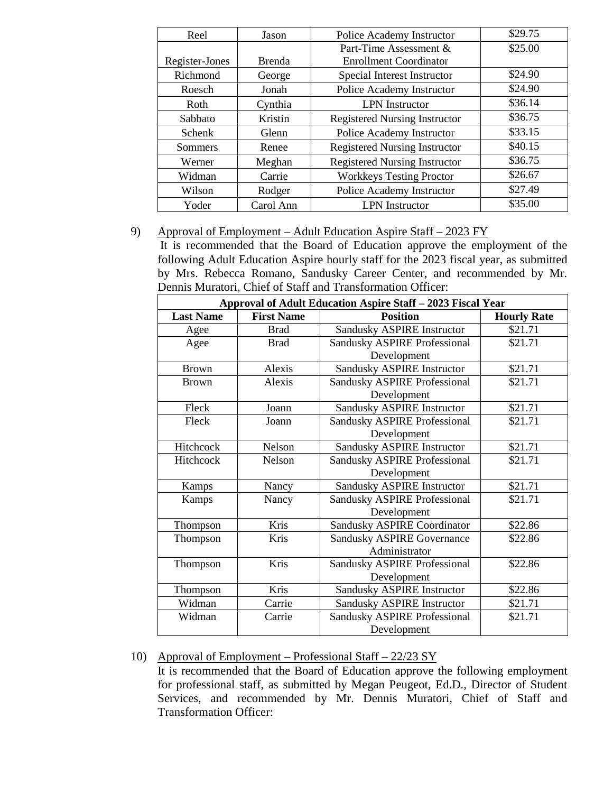| Reel           | Jason         | Police Academy Instructor            | \$29.75 |
|----------------|---------------|--------------------------------------|---------|
|                |               | Part-Time Assessment &               | \$25.00 |
| Register-Jones | <b>Brenda</b> | <b>Enrollment Coordinator</b>        |         |
| Richmond       | George        | Special Interest Instructor          | \$24.90 |
| Roesch         | Jonah         | Police Academy Instructor            | \$24.90 |
| Roth           | Cynthia       | <b>LPN</b> Instructor                | \$36.14 |
| Sabbato        | Kristin       | <b>Registered Nursing Instructor</b> | \$36.75 |
| <b>Schenk</b>  | Glenn         | Police Academy Instructor            | \$33.15 |
| <b>Sommers</b> | Renee         | <b>Registered Nursing Instructor</b> | \$40.15 |
| Werner         | Meghan        | <b>Registered Nursing Instructor</b> | \$36.75 |
| Widman         | Carrie        | <b>Workkeys Testing Proctor</b>      | \$26.67 |
| Wilson         | Rodger        | Police Academy Instructor            | \$27.49 |
| Yoder          | Carol Ann     | <b>LPN</b> Instructor                | \$35.00 |

#### 9) Approval of Employment – Adult Education Aspire Staff – 2023 FY

 It is recommended that the Board of Education approve the employment of the following Adult Education Aspire hourly staff for the 2023 fiscal year, as submitted by Mrs. Rebecca Romano, Sandusky Career Center, and recommended by Mr. Dennis Muratori, Chief of Staff and Transformation Officer:

| Approval of Adult Education Aspire Staff - 2023 Fiscal Year |                   |                                     |                    |  |  |
|-------------------------------------------------------------|-------------------|-------------------------------------|--------------------|--|--|
| <b>Last Name</b>                                            | <b>First Name</b> | <b>Position</b>                     | <b>Hourly Rate</b> |  |  |
| Agee                                                        | <b>Brad</b>       | Sandusky ASPIRE Instructor          | \$21.71            |  |  |
| Agee                                                        | <b>Brad</b>       | <b>Sandusky ASPIRE Professional</b> | \$21.71            |  |  |
|                                                             |                   | Development                         |                    |  |  |
| <b>Brown</b>                                                | Alexis            | Sandusky ASPIRE Instructor          | \$21.71            |  |  |
| <b>Brown</b>                                                | Alexis            | <b>Sandusky ASPIRE Professional</b> | \$21.71            |  |  |
|                                                             |                   | Development                         |                    |  |  |
| Fleck                                                       | Joann             | Sandusky ASPIRE Instructor          | \$21.71            |  |  |
| Fleck                                                       | Joann             | <b>Sandusky ASPIRE Professional</b> | \$21.71            |  |  |
|                                                             |                   | Development                         |                    |  |  |
| Hitchcock                                                   | Nelson            | Sandusky ASPIRE Instructor          | \$21.71            |  |  |
| Hitchcock                                                   | Nelson            | <b>Sandusky ASPIRE Professional</b> | \$21.71            |  |  |
|                                                             |                   | Development                         |                    |  |  |
| Kamps                                                       | Nancy             | Sandusky ASPIRE Instructor          | \$21.71            |  |  |
| Kamps                                                       | Nancy             | <b>Sandusky ASPIRE Professional</b> | \$21.71            |  |  |
|                                                             |                   | Development                         |                    |  |  |
| Thompson                                                    | Kris              | <b>Sandusky ASPIRE Coordinator</b>  | \$22.86            |  |  |
| Thompson                                                    | Kris              | <b>Sandusky ASPIRE Governance</b>   | \$22.86            |  |  |
|                                                             |                   | Administrator                       |                    |  |  |
| Thompson                                                    | Kris              | <b>Sandusky ASPIRE Professional</b> | \$22.86            |  |  |
|                                                             |                   | Development                         |                    |  |  |
| Thompson                                                    | Kris              | Sandusky ASPIRE Instructor          | \$22.86            |  |  |
| Widman                                                      | Carrie            | <b>Sandusky ASPIRE Instructor</b>   | \$21.71            |  |  |
| Widman                                                      | Carrie            | <b>Sandusky ASPIRE Professional</b> | \$21.71            |  |  |
|                                                             |                   | Development                         |                    |  |  |

## 10) Approval of Employment – Professional Staff – 22/23 SY

It is recommended that the Board of Education approve the following employment for professional staff, as submitted by Megan Peugeot, Ed.D., Director of Student Services, and recommended by Mr. Dennis Muratori, Chief of Staff and Transformation Officer: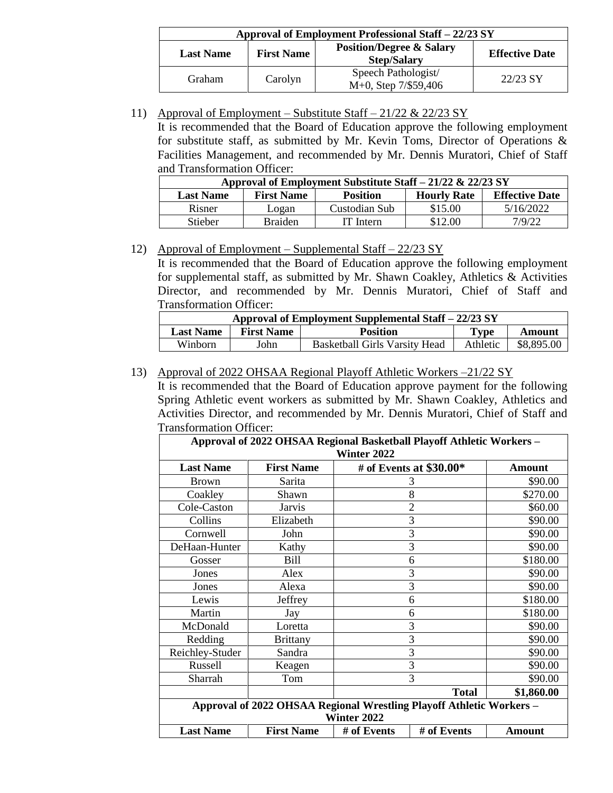| Approval of Employment Professional Staff – 22/23 SY |         |                                                           |                       |  |  |
|------------------------------------------------------|---------|-----------------------------------------------------------|-----------------------|--|--|
| <b>First Name</b><br><b>Last Name</b>                |         | <b>Position/Degree &amp; Salary</b><br><b>Step/Salary</b> | <b>Effective Date</b> |  |  |
| <b>Graham</b>                                        | Carolyn | Speech Pathologist/<br>M+0, Step 7/\$59,406               | 22/23 SY              |  |  |

11) Approval of Employment – Substitute Staff – 21/22 & 22/23 SY

It is recommended that the Board of Education approve the following employment for substitute staff, as submitted by Mr. Kevin Toms, Director of Operations & Facilities Management, and recommended by Mr. Dennis Muratori, Chief of Staff and Transformation Officer:

| Approval of Employment Substitute Staff - 21/22 & 22/23 SY |                   |                 |                    |                       |  |
|------------------------------------------------------------|-------------------|-----------------|--------------------|-----------------------|--|
| <b>Last Name</b>                                           | <b>First Name</b> | <b>Position</b> | <b>Hourly Rate</b> | <b>Effective Date</b> |  |
| Risner                                                     | Logan             | Custodian Sub   | \$15.00            | 5/16/2022             |  |
| Stieber                                                    | <b>Braiden</b>    | IT Intern       | \$12.00            | 7/9/22                |  |

## 12) Approval of Employment – Supplemental Staff – 22/23 SY

It is recommended that the Board of Education approve the following employment for supplemental staff, as submitted by Mr. Shawn Coakley, Athletics & Activities Director, and recommended by Mr. Dennis Muratori, Chief of Staff and Transformation Officer:

| Approval of Employment Supplemental Staff - 22/23 SY |                   |                               |             |            |
|------------------------------------------------------|-------------------|-------------------------------|-------------|------------|
| <b>Last Name</b>                                     | <b>First Name</b> | <b>Position</b>               | <b>Type</b> | Amount     |
| Winborn                                              | John              | Basketball Girls Varsity Head | Athletic    | \$8,895.00 |

## 13) Approval of 2022 OHSAA Regional Playoff Athletic Workers –21/22 SY

It is recommended that the Board of Education approve payment for the following Spring Athletic event workers as submitted by Mr. Shawn Coakley, Athletics and Activities Director, and recommended by Mr. Dennis Muratori, Chief of Staff and Transformation Officer:

| Approval of 2022 OHSAA Regional Basketball Playoff Athletic Workers - |                                                                  |                    |                         |          |  |
|-----------------------------------------------------------------------|------------------------------------------------------------------|--------------------|-------------------------|----------|--|
|                                                                       |                                                                  | <b>Winter 2022</b> |                         |          |  |
| <b>Last Name</b>                                                      | <b>First Name</b>                                                |                    | # of Events at \$30.00* | Amount   |  |
| <b>Brown</b>                                                          | Sarita                                                           |                    | 3                       | \$90.00  |  |
| Coakley                                                               | Shawn                                                            |                    | 8                       | \$270.00 |  |
| Cole-Caston                                                           | <b>Jarvis</b>                                                    |                    | $\overline{2}$          | \$60.00  |  |
| Collins                                                               | Elizabeth                                                        |                    | 3                       | \$90.00  |  |
| Cornwell                                                              | John                                                             |                    | 3                       | \$90.00  |  |
| DeHaan-Hunter                                                         | Kathy                                                            |                    | 3                       | \$90.00  |  |
| Gosser                                                                | Bill                                                             |                    | 6                       | \$180.00 |  |
| Jones                                                                 | Alex                                                             |                    | 3                       | \$90.00  |  |
| Jones                                                                 | Alexa                                                            | 3                  |                         | \$90.00  |  |
| Lewis                                                                 | Jeffrey                                                          |                    | 6                       | \$180.00 |  |
| Martin                                                                | Jay                                                              |                    | 6                       | \$180.00 |  |
| McDonald                                                              | Loretta                                                          |                    | 3                       | \$90.00  |  |
| Redding                                                               | <b>Brittany</b>                                                  |                    | 3                       | \$90.00  |  |
| Reichley-Studer                                                       | Sandra                                                           |                    | 3                       | \$90.00  |  |
| Russell                                                               | Keagen                                                           |                    | 3                       | \$90.00  |  |
| Sharrah                                                               | Tom                                                              | 3                  |                         | \$90.00  |  |
| <b>Total</b><br>\$1,860.00                                            |                                                                  |                    |                         |          |  |
| Approval of 2022 OHSAA Regional Wrestling Playoff Athletic Workers -  |                                                                  |                    |                         |          |  |
|                                                                       |                                                                  | Winter 2022        |                         |          |  |
| <b>Last Name</b>                                                      | <b>First Name</b><br># of Events<br># of Events<br><b>Amount</b> |                    |                         |          |  |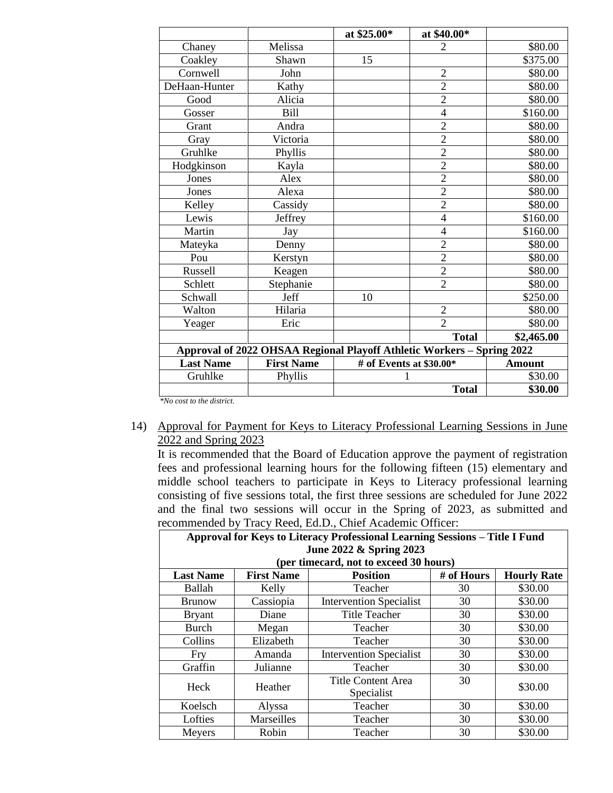|                                                                        |                   | at \$25.00*             | at \$40.00*    |               |
|------------------------------------------------------------------------|-------------------|-------------------------|----------------|---------------|
| Chaney                                                                 | Melissa           |                         | $\overline{2}$ | \$80.00       |
| Coakley                                                                | Shawn             | 15                      |                | \$375.00      |
| Cornwell                                                               | John              |                         | $\overline{2}$ | \$80.00       |
| DeHaan-Hunter                                                          | Kathy             |                         | $\overline{2}$ | \$80.00       |
| Good                                                                   | Alicia            |                         | $\overline{2}$ | \$80.00       |
| Gosser                                                                 | <b>Bill</b>       |                         | $\overline{4}$ | \$160.00      |
| Grant                                                                  | Andra             |                         | $\overline{2}$ | \$80.00       |
| Gray                                                                   | Victoria          |                         | $\overline{2}$ | \$80.00       |
| Gruhlke                                                                | Phyllis           |                         | $\overline{2}$ | \$80.00       |
| Hodgkinson                                                             | Kayla             |                         | $\overline{c}$ | \$80.00       |
| Jones                                                                  | Alex              |                         | $\overline{2}$ | \$80.00       |
| Jones                                                                  | Alexa             |                         | $\overline{2}$ | \$80.00       |
| Kelley                                                                 | Cassidy           |                         | $\overline{c}$ | \$80.00       |
| Lewis                                                                  | Jeffrey           |                         | $\overline{4}$ | \$160.00      |
| Martin                                                                 | Jay               |                         | $\overline{4}$ | \$160.00      |
| Mateyka                                                                | Denny             |                         | $\overline{c}$ | \$80.00       |
| Pou                                                                    | Kerstyn           |                         | $\overline{2}$ | \$80.00       |
| Russell                                                                | Keagen            |                         | $\overline{2}$ | \$80.00       |
| Schlett                                                                | Stephanie         |                         | $\overline{2}$ | \$80.00       |
| Schwall                                                                | Jeff              | 10                      |                | \$250.00      |
| Walton                                                                 | Hilaria           |                         | $\overline{2}$ | \$80.00       |
| Yeager                                                                 | Eric              |                         | $\overline{2}$ | \$80.00       |
|                                                                        |                   |                         | <b>Total</b>   | \$2,465.00    |
| Approval of 2022 OHSAA Regional Playoff Athletic Workers - Spring 2022 |                   |                         |                |               |
| <b>Last Name</b>                                                       | <b>First Name</b> | # of Events at \$30.00* |                | <b>Amount</b> |
| Gruhlke                                                                | Phyllis           |                         |                | \$30.00       |
|                                                                        |                   |                         | <b>Total</b>   | \$30.00       |

*\*No cost to the district.*

#### 14) Approval for Payment for Keys to Literacy Professional Learning Sessions in June 2022 and Spring 2023

It is recommended that the Board of Education approve the payment of registration fees and professional learning hours for the following fifteen (15) elementary and middle school teachers to participate in Keys to Literacy professional learning consisting of five sessions total, the first three sessions are scheduled for June 2022 and the final two sessions will occur in the Spring of 2023, as submitted and recommended by Tracy Reed, Ed.D., Chief Academic Officer:

| $_{\rm continuous}$ , $_{\rm true}$ , $_{\rm new}$ , $_{\rm true}$ , $_{\rm true}$ , $_{\rm true}$ , $_{\rm true}$ , $_{\rm true}$ , $_{\rm true}$ |                                                                             |                                        |            |                    |  |
|----------------------------------------------------------------------------------------------------------------------------------------------------|-----------------------------------------------------------------------------|----------------------------------------|------------|--------------------|--|
|                                                                                                                                                    | Approval for Keys to Literacy Professional Learning Sessions - Title I Fund |                                        |            |                    |  |
|                                                                                                                                                    |                                                                             | June 2022 & Spring 2023                |            |                    |  |
|                                                                                                                                                    |                                                                             | (per timecard, not to exceed 30 hours) |            |                    |  |
| <b>Last Name</b>                                                                                                                                   | <b>First Name</b>                                                           | <b>Position</b>                        | # of Hours | <b>Hourly Rate</b> |  |
| Ballah                                                                                                                                             | Kelly                                                                       | Teacher                                | 30         | \$30.00            |  |
| <b>Brunow</b>                                                                                                                                      | Cassiopia                                                                   | <b>Intervention Specialist</b>         | 30         | \$30.00            |  |
| <b>Bryant</b>                                                                                                                                      | Diane                                                                       | <b>Title Teacher</b>                   | 30         | \$30.00            |  |
| <b>Burch</b>                                                                                                                                       | Megan                                                                       | Teacher                                | 30         | \$30.00            |  |
| Collins                                                                                                                                            | Elizabeth                                                                   | Teacher                                | 30         | \$30.00            |  |
| <b>Fry</b>                                                                                                                                         | Amanda                                                                      | <b>Intervention Specialist</b>         | 30         | \$30.00            |  |
| Graffin                                                                                                                                            | Julianne                                                                    | Teacher                                | 30         | \$30.00            |  |
| Heck                                                                                                                                               |                                                                             | Title Content Area                     | 30         | \$30.00            |  |
|                                                                                                                                                    | Heather                                                                     | Specialist                             |            |                    |  |
| Koelsch                                                                                                                                            | Alyssa                                                                      | Teacher                                | 30         | \$30.00            |  |
| Lofties                                                                                                                                            | Marseilles                                                                  | Teacher                                | 30         | \$30.00            |  |
| Meyers                                                                                                                                             | Robin                                                                       | Teacher                                | 30         | \$30.00            |  |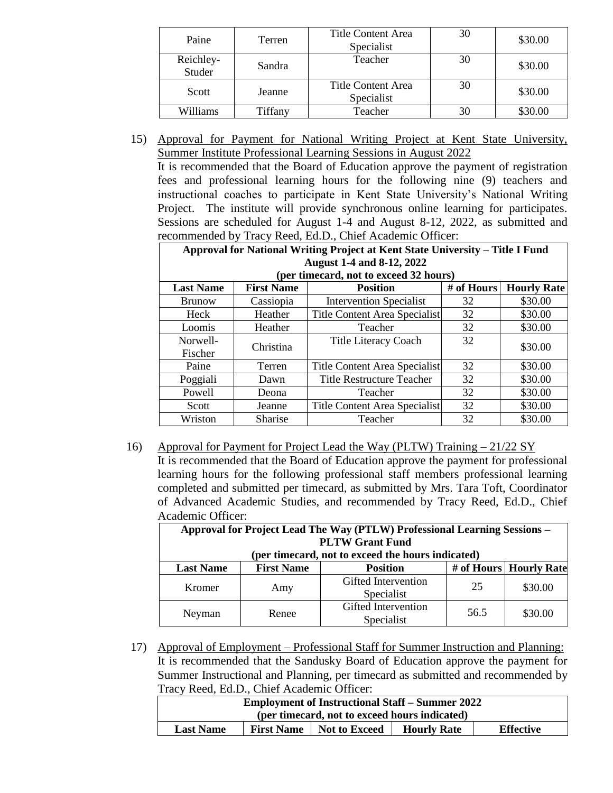| Paine               | Terren  | Title Content Area<br>Specialist | 30 | \$30.00 |
|---------------------|---------|----------------------------------|----|---------|
| Reichley-<br>Studer | Sandra  | Teacher                          | 30 | \$30.00 |
| Scott               | Jeanne  | Title Content Area<br>Specialist | 30 | \$30.00 |
| Williams            | Tiffany | Teacher                          |    | \$30.00 |

15) Approval for Payment for National Writing Project at Kent State University, Summer Institute Professional Learning Sessions in August 2022

It is recommended that the Board of Education approve the payment of registration fees and professional learning hours for the following nine (9) teachers and instructional coaches to participate in Kent State University's National Writing Project. The institute will provide synchronous online learning for participates. Sessions are scheduled for August 1-4 and August 8-12, 2022, as submitted and recommended by Tracy Reed, Ed.D., Chief Academic Officer:

| Approval for National Writing Project at Kent State University - Title I Fund |                   |                                        |            |                    |
|-------------------------------------------------------------------------------|-------------------|----------------------------------------|------------|--------------------|
|                                                                               |                   | <b>August 1-4 and 8-12, 2022</b>       |            |                    |
|                                                                               |                   | (per timecard, not to exceed 32 hours) |            |                    |
| <b>Last Name</b>                                                              | <b>First Name</b> | <b>Position</b>                        | # of Hours | <b>Hourly Rate</b> |
| <b>Brunow</b>                                                                 | Cassiopia         | <b>Intervention Specialist</b>         | 32         | \$30.00            |
| Heck                                                                          | Heather           | Title Content Area Specialist          | 32         | \$30.00            |
| Loomis                                                                        | Heather           | Teacher                                | 32         | \$30.00            |
| Norwell-                                                                      | Christina         | <b>Title Literacy Coach</b>            | 32         | \$30.00            |
| Fischer                                                                       |                   |                                        |            |                    |
| Paine                                                                         | Terren            | Title Content Area Specialist          | 32         | \$30.00            |
| Poggiali                                                                      | Dawn              | <b>Title Restructure Teacher</b>       | 32         | \$30.00            |
| Powell                                                                        | Deona             | Teacher                                | 32         | \$30.00            |
| Scott                                                                         | Jeanne            | Title Content Area Specialist          | 32         | \$30.00            |
| Wriston                                                                       | <b>Sharise</b>    | Teacher                                | 32         | \$30.00            |

16) Approval for Payment for Project Lead the Way (PLTW) Training – 21/22 SY It is recommended that the Board of Education approve the payment for professional learning hours for the following professional staff members professional learning completed and submitted per timecard, as submitted by Mrs. Tara Toft, Coordinator of Advanced Academic Studies, and recommended by Tracy Reed, Ed.D., Chief Academic Officer:

**Approval for Project Lead The Way (PTLW) Professional Learning Sessions – PLTW Grant Fund (per timecard, not to exceed the hours indicated) Last Name First Name Position # of Hours Hourly Rate** Kromer Amy Gifted Intervention Specialist  $\begin{array}{|c|c|c|c|} \hline 25 & 30.00 \\ \hline \end{array}$ Neyman Renee Gifted Intervention Specialist  $56.5$  \$30.00

17) Approval of Employment – Professional Staff for Summer Instruction and Planning: It is recommended that the Sandusky Board of Education approve the payment for Summer Instructional and Planning, per timecard as submitted and recommended by Tracy Reed, Ed.D., Chief Academic Officer:

| -----                                                                                                   |  |  |  |  |  |
|---------------------------------------------------------------------------------------------------------|--|--|--|--|--|
| <b>Employment of Instructional Staff – Summer 2022</b>                                                  |  |  |  |  |  |
| (per timecard, not to exceed hours indicated)                                                           |  |  |  |  |  |
| <b>Effective</b><br><b>First Name</b><br><b>Not to Exceed</b><br><b>Hourly Rate</b><br><b>Last Name</b> |  |  |  |  |  |
|                                                                                                         |  |  |  |  |  |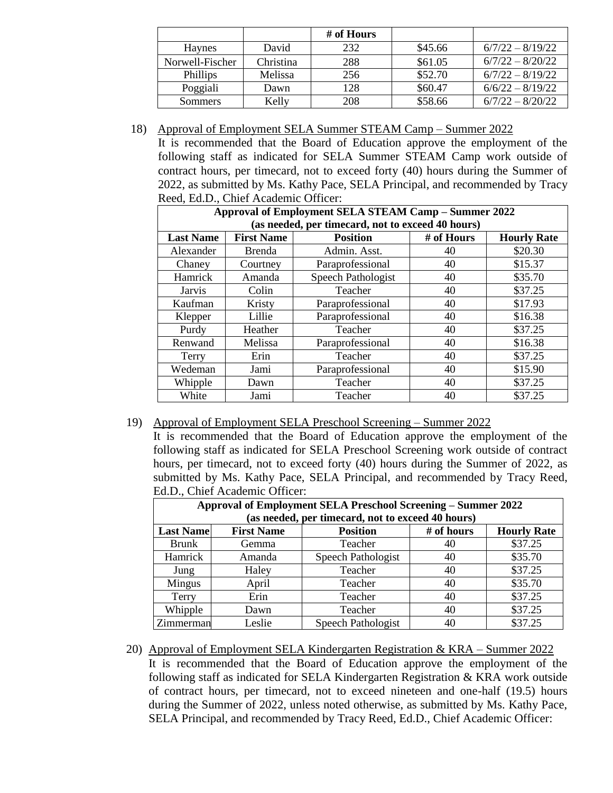|                 |           | # of Hours |         |                    |
|-----------------|-----------|------------|---------|--------------------|
| <b>Haynes</b>   | David     | 232        | \$45.66 | $6/7/22 - 8/19/22$ |
| Norwell-Fischer | Christina | 288        | \$61.05 | $6/7/22 - 8/20/22$ |
| <b>Phillips</b> | Melissa   | 256        | \$52.70 | $6/7/22 - 8/19/22$ |
| Poggiali        | Dawn      | 128        | \$60.47 | $6/6/22 - 8/19/22$ |
| Sommers         | Kelly     | 208        | \$58.66 | $6/7/22 - 8/20/22$ |

18) Approval of Employment SELA Summer STEAM Camp – Summer 2022

It is recommended that the Board of Education approve the employment of the following staff as indicated for SELA Summer STEAM Camp work outside of contract hours, per timecard, not to exceed forty (40) hours during the Summer of 2022, as submitted by Ms. Kathy Pace, SELA Principal, and recommended by Tracy Reed, Ed.D., Chief Academic Officer:

| Approval of Employment SELA STEAM Camp - Summer 2022 |                                                   |                    |            |                    |  |  |
|------------------------------------------------------|---------------------------------------------------|--------------------|------------|--------------------|--|--|
|                                                      | (as needed, per timecard, not to exceed 40 hours) |                    |            |                    |  |  |
| <b>Last Name</b>                                     | <b>First Name</b>                                 | <b>Position</b>    | # of Hours | <b>Hourly Rate</b> |  |  |
| Alexander                                            | <b>Brenda</b>                                     | Admin. Asst.       | 40         | \$20.30            |  |  |
| Chaney                                               | Courtney                                          | Paraprofessional   | 40         | \$15.37            |  |  |
| <b>Hamrick</b>                                       | Amanda                                            | Speech Pathologist | 40         | \$35.70            |  |  |
| Jarvis                                               | Colin                                             | Teacher            | 40         | \$37.25            |  |  |
| Kaufman                                              | Kristy                                            | Paraprofessional   | 40         | \$17.93            |  |  |
| Klepper                                              | Lillie                                            | Paraprofessional   | 40         | \$16.38            |  |  |
| Purdy                                                | Heather                                           | Teacher            | 40         | \$37.25            |  |  |
| Renwand                                              | Melissa                                           | Paraprofessional   | 40         | \$16.38            |  |  |
| Terry                                                | Erin                                              | Teacher            | 40         | \$37.25            |  |  |
| Wedeman                                              | Jami                                              | Paraprofessional   | 40         | \$15.90            |  |  |
| Whipple                                              | Dawn                                              | Teacher            | 40         | \$37.25            |  |  |
| White                                                | Jami                                              | Teacher            | 40         | \$37.25            |  |  |

## 19) Approval of Employment SELA Preschool Screening – Summer 2022

It is recommended that the Board of Education approve the employment of the following staff as indicated for SELA Preschool Screening work outside of contract hours, per timecard, not to exceed forty (40) hours during the Summer of 2022, as submitted by Ms. Kathy Pace, SELA Principal, and recommended by Tracy Reed, Ed.D., Chief Academic Officer:

| <b>Approval of Employment SELA Preschool Screening – Summer 2022</b> |                   |                                                   |            |                    |
|----------------------------------------------------------------------|-------------------|---------------------------------------------------|------------|--------------------|
|                                                                      |                   | (as needed, per timecard, not to exceed 40 hours) |            |                    |
| <b>Last Name</b>                                                     | <b>First Name</b> | <b>Position</b>                                   | # of hours | <b>Hourly Rate</b> |
| <b>Brunk</b>                                                         | Gemma             | Teacher                                           | 40         | \$37.25            |
| Hamrick                                                              | Amanda            | Speech Pathologist                                | 40         | \$35.70            |
| Jung                                                                 | Haley             | Teacher                                           | 40         | \$37.25            |
| Mingus                                                               | April             | Teacher                                           | 40         | \$35.70            |
| Terry                                                                | Erin              | Teacher                                           | 40         | \$37.25            |
| Whipple                                                              | Dawn              | Teacher                                           | 40         | \$37.25            |
| Zimmerman                                                            | Leslie            | Speech Pathologist                                | 40         | \$37.25            |

20) Approval of Employment SELA Kindergarten Registration & KRA – Summer 2022 It is recommended that the Board of Education approve the employment of the following staff as indicated for SELA Kindergarten Registration & KRA work outside of contract hours, per timecard, not to exceed nineteen and one-half (19.5) hours during the Summer of 2022, unless noted otherwise, as submitted by Ms. Kathy Pace, SELA Principal, and recommended by Tracy Reed, Ed.D., Chief Academic Officer: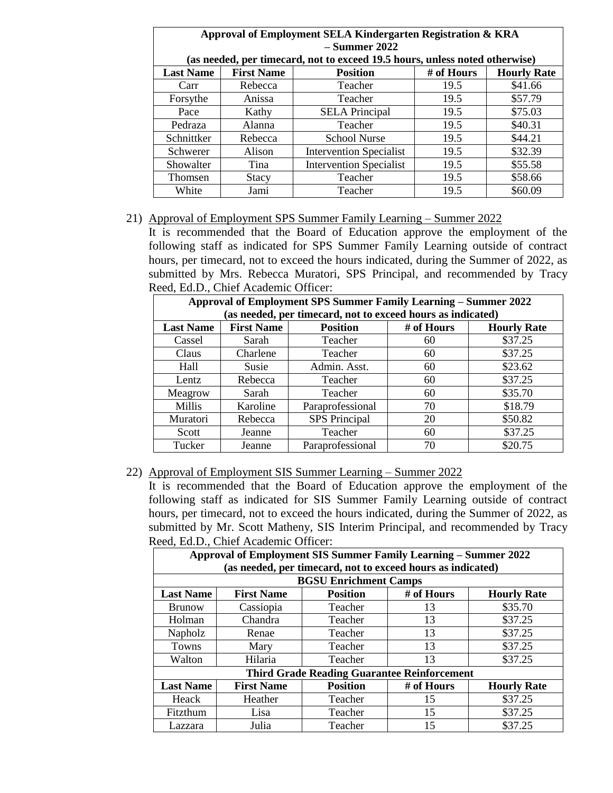| Approval of Employment SELA Kindergarten Registration & KRA |                   |                                                                             |            |                    |
|-------------------------------------------------------------|-------------------|-----------------------------------------------------------------------------|------------|--------------------|
|                                                             |                   | $-$ Summer 2022                                                             |            |                    |
|                                                             |                   | (as needed, per timecard, not to exceed 19.5 hours, unless noted otherwise) |            |                    |
| <b>Last Name</b>                                            | <b>First Name</b> | <b>Position</b>                                                             | # of Hours | <b>Hourly Rate</b> |
| Carr                                                        | Rebecca           | Teacher                                                                     | 19.5       | \$41.66            |
| Forsythe                                                    | Anissa            | Teacher                                                                     | 19.5       | \$57.79            |
| Pace                                                        | Kathy             | <b>SELA</b> Principal                                                       | 19.5       | \$75.03            |
| Pedraza                                                     | Alanna            | Teacher                                                                     | 19.5       | \$40.31            |
| Schnittker                                                  | Rebecca           | <b>School Nurse</b>                                                         | 19.5       | \$44.21            |
| Schwerer                                                    | Alison            | <b>Intervention Specialist</b>                                              | 19.5       | \$32.39            |
| Showalter                                                   | Tina              | <b>Intervention Specialist</b>                                              | 19.5       | \$55.58            |
| Thomsen                                                     | Stacy             | Teacher                                                                     | 19.5       | \$58.66            |
| White                                                       | Jami              | Teacher                                                                     | 19.5       | \$60.09            |

## **Approval of Employment SELA Kindergarten Registration & KRA**

#### 21) Approval of Employment SPS Summer Family Learning – Summer 2022

It is recommended that the Board of Education approve the employment of the following staff as indicated for SPS Summer Family Learning outside of contract hours, per timecard, not to exceed the hours indicated, during the Summer of 2022, as submitted by Mrs. Rebecca Muratori, SPS Principal, and recommended by Tracy Reed, Ed.D., Chief Academic Officer:

| Approval of Employment SPS Summer Family Learning – Summer 2022 |                   |                                                             |            |                    |
|-----------------------------------------------------------------|-------------------|-------------------------------------------------------------|------------|--------------------|
|                                                                 |                   | (as needed, per timecard, not to exceed hours as indicated) |            |                    |
| <b>Last Name</b>                                                | <b>First Name</b> | <b>Position</b>                                             | # of Hours | <b>Hourly Rate</b> |
| Cassel                                                          | Sarah             | Teacher                                                     | 60         | \$37.25            |
| Claus                                                           | Charlene          | Teacher                                                     | 60         | \$37.25            |
| Hall                                                            | Susie             | Admin. Asst.                                                | 60         | \$23.62            |
| Lentz                                                           | Rebecca           | Teacher                                                     | 60         | \$37.25            |
| Meagrow                                                         | Sarah             | Teacher                                                     | 60         | \$35.70            |
| Millis                                                          | Karoline          | Paraprofessional                                            | 70         | \$18.79            |
| Muratori                                                        | Rebecca           | <b>SPS</b> Principal                                        | 20         | \$50.82            |
| Scott                                                           | Jeanne            | Teacher                                                     | 60         | \$37.25            |
| Tucker                                                          | Jeanne            | Paraprofessional                                            | 70         | \$20.75            |

#### 22) Approval of Employment SIS Summer Learning – Summer 2022

It is recommended that the Board of Education approve the employment of the following staff as indicated for SIS Summer Family Learning outside of contract hours, per timecard, not to exceed the hours indicated, during the Summer of 2022, as submitted by Mr. Scott Matheny, SIS Interim Principal, and recommended by Tracy Reed, Ed.D., Chief Academic Officer:

| Approval of Employment SIS Summer Family Learning - Summer 2022<br>(as needed, per timecard, not to exceed hours as indicated) |                   |                                                    |            |                    |
|--------------------------------------------------------------------------------------------------------------------------------|-------------------|----------------------------------------------------|------------|--------------------|
|                                                                                                                                |                   | <b>BGSU Enrichment Camps</b>                       |            |                    |
| <b>Last Name</b>                                                                                                               | <b>First Name</b> | <b>Position</b>                                    | # of Hours | <b>Hourly Rate</b> |
| <b>Brunow</b>                                                                                                                  | Cassiopia         | Teacher                                            | 13         | \$35.70            |
| Holman                                                                                                                         | Chandra           | Teacher                                            | 13         | \$37.25            |
| Napholz                                                                                                                        | Renae             | Teacher                                            | 13         | \$37.25            |
| Towns                                                                                                                          | Mary              | Teacher                                            | 13         | \$37.25            |
| Walton                                                                                                                         | Hilaria           | Teacher                                            | 13         | \$37.25            |
|                                                                                                                                |                   | <b>Third Grade Reading Guarantee Reinforcement</b> |            |                    |
| <b>Last Name</b>                                                                                                               | <b>First Name</b> | <b>Position</b>                                    | # of Hours | <b>Hourly Rate</b> |
| Heack                                                                                                                          | Heather           | Teacher                                            | 15         | \$37.25            |
| <b>Fitzthum</b>                                                                                                                | Lisa              | Teacher                                            | 15         | \$37.25            |
| Lazzara                                                                                                                        | Julia             | Teacher                                            | 15         | \$37.25            |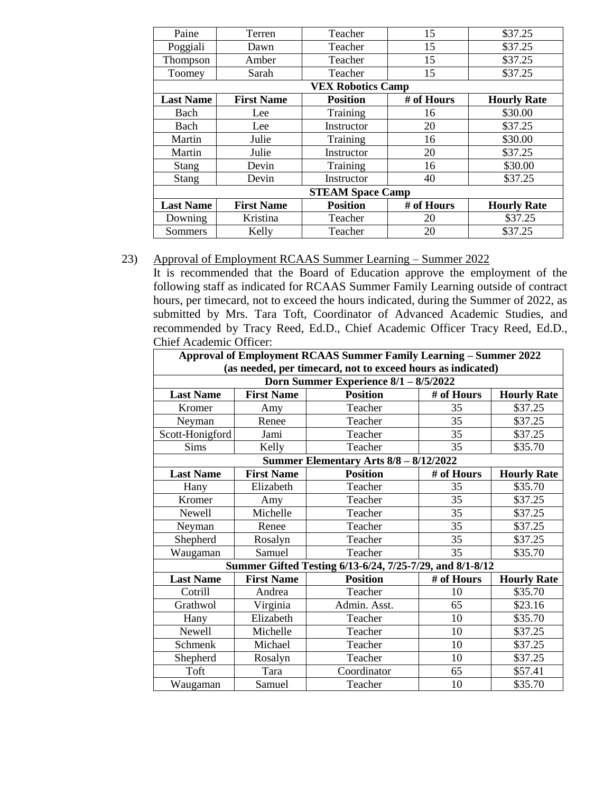| Paine                    | Terren            | Teacher                 | 15         | \$37.25            |  |
|--------------------------|-------------------|-------------------------|------------|--------------------|--|
| Poggiali                 | Dawn              | Teacher                 | 15         | \$37.25            |  |
| Thompson                 | Amber             | Teacher                 | 15         | \$37.25            |  |
| Toomey                   | Sarah             | Teacher                 | 15         | \$37.25            |  |
| <b>VEX Robotics Camp</b> |                   |                         |            |                    |  |
| <b>Last Name</b>         | <b>First Name</b> | <b>Position</b>         | # of Hours | <b>Hourly Rate</b> |  |
| Bach                     | Lee               | Training                | 16         | \$30.00            |  |
| Bach                     | Lee               | Instructor              | 20         | \$37.25            |  |
| Martin                   | Julie             | Training                | 16         | \$30.00            |  |
| Martin                   | Julie             | Instructor              | 20         | \$37.25            |  |
| <b>Stang</b>             | Devin             | Training                | 16         | \$30.00            |  |
| <b>Stang</b>             | Devin             | Instructor              | 40         | \$37.25            |  |
|                          |                   | <b>STEAM Space Camp</b> |            |                    |  |
| <b>Last Name</b>         | <b>First Name</b> | <b>Position</b>         | # of Hours | <b>Hourly Rate</b> |  |
| Downing                  | Kristina          | Teacher                 | 20         | \$37.25            |  |
| Sommers                  | Kelly             | Teacher                 | 20         | \$37.25            |  |

#### 23) Approval of Employment RCAAS Summer Learning – Summer 2022

It is recommended that the Board of Education approve the employment of the following staff as indicated for RCAAS Summer Family Learning outside of contract hours, per timecard, not to exceed the hours indicated, during the Summer of 2022, as submitted by Mrs. Tara Toft, Coordinator of Advanced Academic Studies, and recommended by Tracy Reed, Ed.D., Chief Academic Officer Tracy Reed, Ed.D., Chief Academic Officer:

| <b>Approval of Employment RCAAS Summer Family Learning - Summer 2022</b>                             |                   |                                                          |            |                    |  |
|------------------------------------------------------------------------------------------------------|-------------------|----------------------------------------------------------|------------|--------------------|--|
| (as needed, per timecard, not to exceed hours as indicated)<br>Dorn Summer Experience 8/1 - 8/5/2022 |                   |                                                          |            |                    |  |
|                                                                                                      |                   |                                                          |            |                    |  |
| <b>Last Name</b>                                                                                     | <b>First Name</b> | <b>Position</b>                                          | # of Hours | <b>Hourly Rate</b> |  |
| Kromer                                                                                               | Amy               | Teacher                                                  | 35         | \$37.25            |  |
| Neyman                                                                                               | Renee             | Teacher                                                  | 35         | \$37.25            |  |
| Scott-Honigford                                                                                      | Jami              | Teacher                                                  | 35         | \$37.25            |  |
| <b>Sims</b>                                                                                          | Kelly             | Teacher                                                  | 35         | \$35.70            |  |
|                                                                                                      |                   | Summer Elementary Arts 8/8 - 8/12/2022                   |            |                    |  |
| <b>Last Name</b><br><b>First Name</b><br><b>Position</b><br># of Hours<br><b>Hourly Rate</b>         |                   |                                                          |            |                    |  |
| Hany                                                                                                 | Elizabeth         | Teacher                                                  | 35         | \$35.70            |  |
| Kromer                                                                                               | Amy               | Teacher                                                  | 35         | \$37.25            |  |
| Newell                                                                                               | Michelle          | Teacher                                                  | 35         | \$37.25            |  |
| Neyman                                                                                               | Renee             | Teacher                                                  | 35         | \$37.25            |  |
| Shepherd                                                                                             | Rosalyn           | Teacher                                                  | 35         | \$37.25            |  |
| Waugaman                                                                                             | Samuel            | Teacher                                                  | 35         | \$35.70            |  |
|                                                                                                      |                   | Summer Gifted Testing 6/13-6/24, 7/25-7/29, and 8/1-8/12 |            |                    |  |
| <b>Last Name</b>                                                                                     | <b>First Name</b> | <b>Position</b>                                          | # of Hours | <b>Hourly Rate</b> |  |
| Cotrill                                                                                              | Andrea            | Teacher                                                  | 10         | \$35.70            |  |
| Grathwol                                                                                             | Virginia          | Admin. Asst.                                             | 65         | \$23.16            |  |
| Hany                                                                                                 | Elizabeth         | Teacher                                                  | 10         | \$35.70            |  |
| Newell                                                                                               | Michelle          | Teacher                                                  | 10         | \$37.25            |  |
| Schmenk                                                                                              | Michael           | Teacher                                                  | 10         | \$37.25            |  |
| Shepherd                                                                                             | Rosalyn           | Teacher                                                  | 10         | \$37.25            |  |
| Toft                                                                                                 | Tara              | Coordinator                                              | 65         | \$57.41            |  |
| Waugaman                                                                                             | Samuel            | Teacher                                                  | 10         | \$35.70            |  |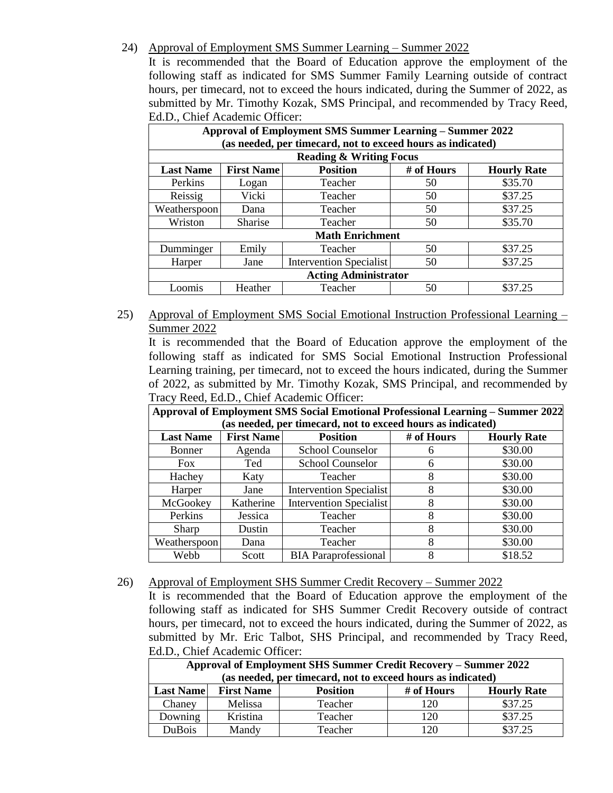### 24) Approval of Employment SMS Summer Learning – Summer 2022

It is recommended that the Board of Education approve the employment of the following staff as indicated for SMS Summer Family Learning outside of contract hours, per timecard, not to exceed the hours indicated, during the Summer of 2022, as submitted by Mr. Timothy Kozak, SMS Principal, and recommended by Tracy Reed, Ed.D., Chief Academic Officer:

| <b>Approval of Employment SMS Summer Learning – Summer 2022</b><br>(as needed, per timecard, not to exceed hours as indicated) |                                                                          |                                    |    |         |  |  |  |
|--------------------------------------------------------------------------------------------------------------------------------|--------------------------------------------------------------------------|------------------------------------|----|---------|--|--|--|
|                                                                                                                                |                                                                          | <b>Reading &amp; Writing Focus</b> |    |         |  |  |  |
| <b>Last Name</b>                                                                                                               | <b>Position</b><br><b>First Name</b><br># of Hours<br><b>Hourly Rate</b> |                                    |    |         |  |  |  |
| Perkins                                                                                                                        | Logan                                                                    | Teacher                            | 50 | \$35.70 |  |  |  |
| Reissig                                                                                                                        | Vicki                                                                    | Teacher                            | 50 | \$37.25 |  |  |  |
| Weatherspoon                                                                                                                   | Dana                                                                     | Teacher                            | 50 | \$37.25 |  |  |  |
| Wriston<br><b>Sharise</b>                                                                                                      |                                                                          | Teacher<br>50                      |    | \$35.70 |  |  |  |
|                                                                                                                                |                                                                          | <b>Math Enrichment</b>             |    |         |  |  |  |
| Dumminger                                                                                                                      | Emily                                                                    | Teacher                            | 50 | \$37.25 |  |  |  |
| \$37.25<br><b>Intervention Specialist</b><br>50<br>Harper<br>Jane                                                              |                                                                          |                                    |    |         |  |  |  |
| <b>Acting Administrator</b>                                                                                                    |                                                                          |                                    |    |         |  |  |  |
| Loomis                                                                                                                         | Heather                                                                  | Teacher                            | 50 | \$37.25 |  |  |  |

25) Approval of Employment SMS Social Emotional Instruction Professional Learning – Summer 2022

It is recommended that the Board of Education approve the employment of the following staff as indicated for SMS Social Emotional Instruction Professional Learning training, per timecard, not to exceed the hours indicated, during the Summer of 2022, as submitted by Mr. Timothy Kozak, SMS Principal, and recommended by Tracy Reed, Ed.D., Chief Academic Officer:

**Approval of Employment SMS Social Emotional Professional Learning – Summer 2022 (as needed, per timecard, not to exceed hours as indicated)**

| as needed, per uniecard, nor to exceed nours as muicated) |           |                             |            |                    |  |
|-----------------------------------------------------------|-----------|-----------------------------|------------|--------------------|--|
| <b>First Name</b><br><b>Last Name</b>                     |           | <b>Position</b>             | # of Hours | <b>Hourly Rate</b> |  |
| Bonner                                                    | Agenda    | <b>School Counselor</b>     |            | \$30.00            |  |
| <b>Fox</b>                                                | Ted       | School Counselor            | n          | \$30.00            |  |
| Hachey                                                    | Katy      | Teacher                     |            | \$30.00            |  |
| Harper                                                    | Jane      | Intervention Specialist     |            | \$30.00            |  |
| McGookey                                                  | Katherine | Intervention Specialist     |            | \$30.00            |  |
| Perkins                                                   | Jessica   | Teacher                     |            | \$30.00            |  |
| Sharp                                                     | Dustin    | Teacher                     |            | \$30.00            |  |
| Weatherspoon                                              | Dana      | Teacher                     |            | \$30.00            |  |
| Webb                                                      | Scott     | <b>BIA</b> Paraprofessional |            | \$18.52            |  |

#### 26) Approval of Employment SHS Summer Credit Recovery – Summer 2022

It is recommended that the Board of Education approve the employment of the following staff as indicated for SHS Summer Credit Recovery outside of contract hours, per timecard, not to exceed the hours indicated, during the Summer of 2022, as submitted by Mr. Eric Talbot, SHS Principal, and recommended by Tracy Reed, Ed.D., Chief Academic Officer:

| Approval of Employment SHS Summer Credit Recovery – Summer 2022 |                                                                                              |         |     |         |  |  |  |
|-----------------------------------------------------------------|----------------------------------------------------------------------------------------------|---------|-----|---------|--|--|--|
| (as needed, per timecard, not to exceed hours as indicated)     |                                                                                              |         |     |         |  |  |  |
|                                                                 | <b>First Name</b><br># of Hours<br><b>Last Name</b><br><b>Position</b><br><b>Hourly Rate</b> |         |     |         |  |  |  |
| Chaney                                                          | Melissa                                                                                      | Teacher | 120 | \$37.25 |  |  |  |
| Downing                                                         | Kristina                                                                                     | Teacher | 120 | \$37.25 |  |  |  |
| DuBois                                                          | Mandy                                                                                        | Teacher | 120 | \$37.25 |  |  |  |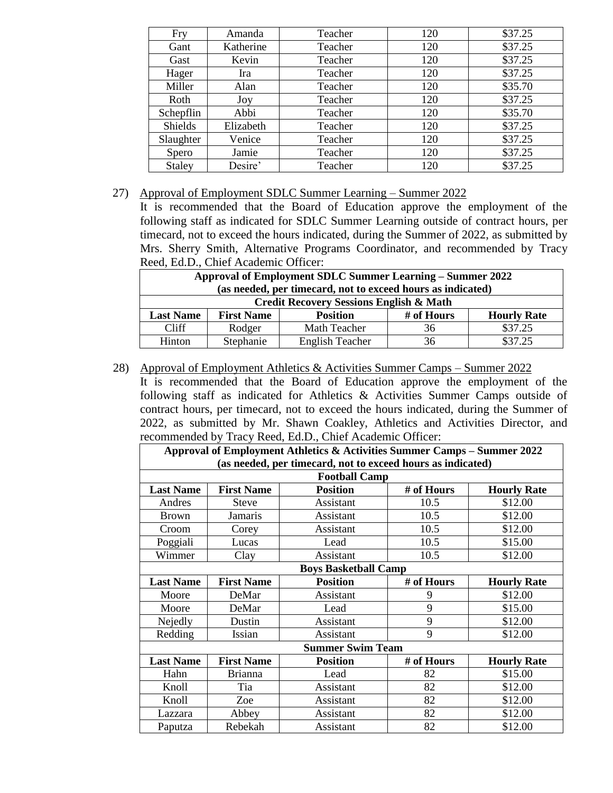| Fry       | Amanda    | Teacher | 120 | \$37.25 |
|-----------|-----------|---------|-----|---------|
| Gant      | Katherine | Teacher | 120 | \$37.25 |
| Gast      | Kevin     | Teacher | 120 | \$37.25 |
| Hager     | Ira       | Teacher | 120 | \$37.25 |
| Miller    | Alan      | Teacher | 120 | \$35.70 |
| Roth      | Joy       | Teacher | 120 | \$37.25 |
| Schepflin | Abbi      | Teacher | 120 | \$35.70 |
| Shields   | Elizabeth | Teacher | 120 | \$37.25 |
| Slaughter | Venice    | Teacher | 120 | \$37.25 |
| Spero     | Jamie     | Teacher | 120 | \$37.25 |
| Staley    | Desire'   | Teacher | 120 | \$37.25 |

#### 27) Approval of Employment SDLC Summer Learning – Summer 2022

It is recommended that the Board of Education approve the employment of the following staff as indicated for SDLC Summer Learning outside of contract hours, per timecard, not to exceed the hours indicated, during the Summer of 2022, as submitted by Mrs. Sherry Smith, Alternative Programs Coordinator, and recommended by Tracy Reed, Ed.D., Chief Academic Officer:

| <b>Approval of Employment SDLC Summer Learning – Summer 2022</b> |                                                                          |                                                    |    |         |  |  |
|------------------------------------------------------------------|--------------------------------------------------------------------------|----------------------------------------------------|----|---------|--|--|
|                                                                  | (as needed, per timecard, not to exceed hours as indicated)              |                                                    |    |         |  |  |
|                                                                  |                                                                          | <b>Credit Recovery Sessions English &amp; Math</b> |    |         |  |  |
| <b>Last Name</b>                                                 | # of Hours<br><b>First Name</b><br><b>Position</b><br><b>Hourly Rate</b> |                                                    |    |         |  |  |
| Cliff                                                            | Rodger                                                                   | Math Teacher                                       | 36 | \$37.25 |  |  |
| Hinton                                                           | Stephanie                                                                | <b>English Teacher</b>                             | 36 | \$37.25 |  |  |

#### 28) Approval of Employment Athletics & Activities Summer Camps – Summer 2022

It is recommended that the Board of Education approve the employment of the following staff as indicated for Athletics & Activities Summer Camps outside of contract hours, per timecard, not to exceed the hours indicated, during the Summer of 2022, as submitted by Mr. Shawn Coakley, Athletics and Activities Director, and recommended by Tracy Reed, Ed.D., Chief Academic Officer:

| recommended by Thue, Tweed, Ed.B., Chief Freddeline Officer.<br>Approval of Employment Athletics & Activities Summer Camps - Summer 2022 |                                                             |                             |            |                    |  |
|------------------------------------------------------------------------------------------------------------------------------------------|-------------------------------------------------------------|-----------------------------|------------|--------------------|--|
|                                                                                                                                          | (as needed, per timecard, not to exceed hours as indicated) |                             |            |                    |  |
|                                                                                                                                          |                                                             | <b>Football Camp</b>        |            |                    |  |
| <b>Last Name</b>                                                                                                                         | <b>First Name</b>                                           | <b>Position</b>             | # of Hours | <b>Hourly Rate</b> |  |
| Andres                                                                                                                                   | Steve                                                       | Assistant                   | 10.5       | \$12.00            |  |
| <b>Brown</b>                                                                                                                             | <b>Jamaris</b>                                              | Assistant                   | 10.5       | \$12.00            |  |
| Croom                                                                                                                                    | Corey                                                       | Assistant                   | 10.5       | \$12.00            |  |
| Poggiali                                                                                                                                 | Lucas                                                       | Lead                        | 10.5       | \$15.00            |  |
| Wimmer                                                                                                                                   | Clay                                                        | Assistant                   | 10.5       | \$12.00            |  |
|                                                                                                                                          |                                                             | <b>Boys Basketball Camp</b> |            |                    |  |
| <b>Last Name</b>                                                                                                                         | <b>First Name</b>                                           | <b>Position</b>             | # of Hours | <b>Hourly Rate</b> |  |
| Moore                                                                                                                                    | DeMar                                                       | Assistant                   | 9          | \$12.00            |  |
| Moore                                                                                                                                    | DeMar                                                       | Lead                        | 9          | \$15.00            |  |
| Nejedly                                                                                                                                  | Dustin                                                      | Assistant                   | 9          | \$12.00            |  |
| Redding                                                                                                                                  | Issian                                                      | Assistant                   | 9          | \$12.00            |  |
|                                                                                                                                          |                                                             | <b>Summer Swim Team</b>     |            |                    |  |
| <b>Last Name</b>                                                                                                                         | <b>First Name</b>                                           | <b>Position</b>             | # of Hours | <b>Hourly Rate</b> |  |
| Hahn                                                                                                                                     | <b>Brianna</b>                                              | Lead                        | 82         | \$15.00            |  |
| Knoll                                                                                                                                    | Tia                                                         | Assistant                   | 82         | \$12.00            |  |
| Knoll                                                                                                                                    | Zoe                                                         | Assistant                   | 82         | \$12.00            |  |
| Lazzara                                                                                                                                  | Abbey                                                       | Assistant                   | 82         | \$12.00            |  |
| Paputza                                                                                                                                  | Rebekah                                                     | Assistant                   | 82         | \$12.00            |  |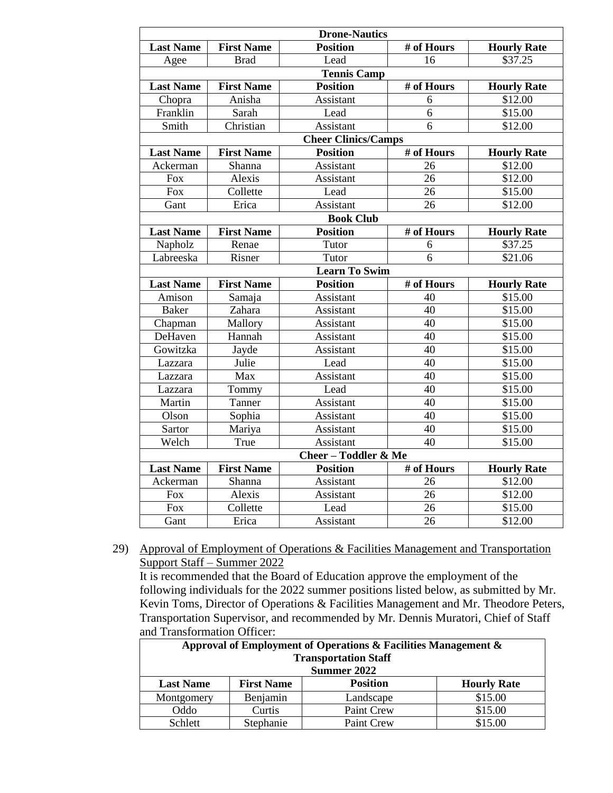| <b>Drone-Nautics</b> |                   |                                 |                          |                    |
|----------------------|-------------------|---------------------------------|--------------------------|--------------------|
| <b>Last Name</b>     | <b>First Name</b> | <b>Position</b>                 | # of Hours               | <b>Hourly Rate</b> |
| Agee                 | <b>Brad</b>       | Lead                            | 16                       | \$37.25            |
|                      |                   | <b>Tennis Camp</b>              |                          |                    |
| <b>Last Name</b>     | <b>First Name</b> | <b>Position</b>                 | $#$ of Hours             | <b>Hourly Rate</b> |
| Chopra               | Anisha            | Assistant                       | 6                        | \$12.00            |
| Franklin             | Sarah             | Lead                            | $\overline{6}$           | \$15.00            |
| Smith                | Christian         | Assistant                       | 6                        | \$12.00            |
|                      |                   | <b>Cheer Clinics/Camps</b>      |                          |                    |
| <b>Last Name</b>     | <b>First Name</b> | <b>Position</b>                 | $\overline{\#}$ of Hours | <b>Hourly Rate</b> |
| Ackerman             | Shanna            | Assistant                       | 26                       | \$12.00            |
| <b>Fox</b>           | Alexis            | Assistant                       | 26                       | \$12.00            |
| <b>Fox</b>           | Collette          | Lead                            | 26                       | \$15.00            |
| Gant                 | Erica             | Assistant                       | 26                       | \$12.00            |
|                      |                   | <b>Book Club</b>                |                          |                    |
| <b>Last Name</b>     | <b>First Name</b> | <b>Position</b>                 | # of Hours               | <b>Hourly Rate</b> |
| Napholz              | Renae             | Tutor                           | 6                        | \$37.25            |
| Labreeska            | Risner            | Tutor                           | 6                        | \$21.06            |
|                      |                   | <b>Learn To Swim</b>            |                          |                    |
| <b>Last Name</b>     | <b>First Name</b> | <b>Position</b>                 | # of Hours               | <b>Hourly Rate</b> |
| Amison               | Samaja            | Assistant                       | 40                       | \$15.00            |
| <b>Baker</b>         | Zahara            | Assistant                       | 40                       | \$15.00            |
| Chapman              | Mallory           | Assistant                       | 40                       | \$15.00            |
| DeHaven              | Hannah            | Assistant                       | 40                       | \$15.00            |
| Gowitzka             | Jayde             | Assistant                       | 40                       |                    |
|                      |                   |                                 |                          | \$15.00            |
| Lazzara              | Julie             | Lead                            | 40                       | \$15.00            |
| Lazzara              | Max               | Assistant                       | 40                       | \$15.00            |
| Lazzara              | Tommy             | Lead                            | 40                       | \$15.00            |
| Martin               | Tanner            | Assistant                       | 40                       | \$15.00            |
| Olson                | Sophia            | Assistant                       | 40                       | \$15.00            |
| Sartor               | Mariya            | Assistant                       | 40                       | \$15.00            |
| Welch                | <b>True</b>       | Assistant                       | 40                       | \$15.00            |
|                      |                   | <b>Cheer - Toddler &amp; Me</b> |                          |                    |
| <b>Last Name</b>     | <b>First Name</b> | <b>Position</b>                 | # of Hours               | <b>Hourly Rate</b> |
| Ackerman             | Shanna            | Assistant                       | 26                       | \$12.00            |
| <b>Fox</b>           | Alexis            | Assistant                       | 26                       | \$12.00            |
| <b>Fox</b>           | Collette<br>Erica | Lead<br>Assistant               | 26<br>26                 | \$15.00<br>\$12.00 |

29) Approval of Employment of Operations & Facilities Management and Transportation Support Staff – Summer 2022

It is recommended that the Board of Education approve the employment of the following individuals for the 2022 summer positions listed below, as submitted by Mr. Kevin Toms, Director of Operations & Facilities Management and Mr. Theodore Peters, Transportation Supervisor, and recommended by Mr. Dennis Muratori, Chief of Staff and Transformation Officer:

| Approval of Employment of Operations & Facilities Management & |                   |                 |                    |  |
|----------------------------------------------------------------|-------------------|-----------------|--------------------|--|
| <b>Transportation Staff</b>                                    |                   |                 |                    |  |
| Summer 2022                                                    |                   |                 |                    |  |
| <b>Last Name</b>                                               | <b>First Name</b> | <b>Position</b> | <b>Hourly Rate</b> |  |
| Montgomery                                                     | Benjamin          | Landscape       | \$15.00            |  |
| Oddo                                                           | Curtis            | Paint Crew      | \$15.00            |  |
| Schlett                                                        | Stephanie         | Paint Crew      | \$15.00            |  |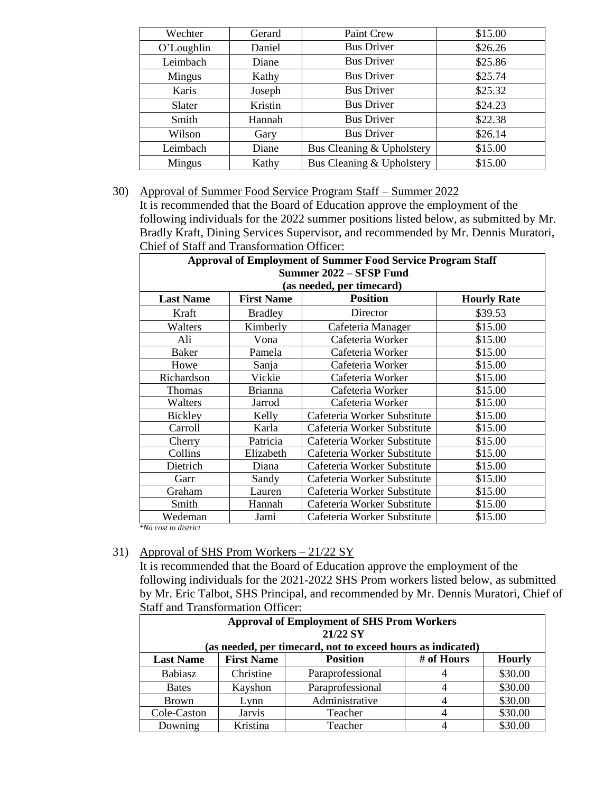| Wechter    | Gerard  | Paint Crew                | \$15.00 |
|------------|---------|---------------------------|---------|
| O'Loughlin | Daniel  | <b>Bus Driver</b>         | \$26.26 |
| Leimbach   | Diane   | <b>Bus Driver</b>         | \$25.86 |
| Mingus     | Kathy   | <b>Bus Driver</b>         | \$25.74 |
| Karis      | Joseph  | <b>Bus Driver</b>         | \$25.32 |
| Slater     | Kristin | <b>Bus Driver</b>         | \$24.23 |
| Smith      | Hannah  | <b>Bus Driver</b>         | \$22.38 |
| Wilson     | Gary    | <b>Bus Driver</b>         | \$26.14 |
| Leimbach   | Diane   | Bus Cleaning & Upholstery | \$15.00 |
| Mingus     | Kathy   | Bus Cleaning & Upholstery | \$15.00 |

#### 30) Approval of Summer Food Service Program Staff – Summer 2022

It is recommended that the Board of Education approve the employment of the following individuals for the 2022 summer positions listed below, as submitted by Mr. Bradly Kraft, Dining Services Supervisor, and recommended by Mr. Dennis Muratori, Chief of Staff and Transformation Officer:

| <b>Approval of Employment of Summer Food Service Program Staff</b> |                                      |                             |                    |  |
|--------------------------------------------------------------------|--------------------------------------|-----------------------------|--------------------|--|
| Summer 2022 - SFSP Fund                                            |                                      |                             |                    |  |
|                                                                    |                                      | (as needed, per timecard)   |                    |  |
| <b>Last Name</b>                                                   | <b>Position</b><br><b>First Name</b> |                             | <b>Hourly Rate</b> |  |
| Kraft                                                              | <b>Bradley</b>                       | Director                    | \$39.53            |  |
| Walters                                                            | Kimberly                             | Cafeteria Manager           | \$15.00            |  |
| Ali                                                                | Vona                                 | Cafeteria Worker            | \$15.00            |  |
| Baker                                                              | Pamela                               | Cafeteria Worker            | \$15.00            |  |
| Howe                                                               | Sanja                                | Cafeteria Worker            | \$15.00            |  |
| Richardson                                                         | Vickie                               | Cafeteria Worker            | \$15.00            |  |
| Thomas                                                             | <b>Brianna</b>                       | Cafeteria Worker            | \$15.00            |  |
| Walters                                                            | Jarrod                               | Cafeteria Worker            | \$15.00            |  |
| <b>Bickley</b>                                                     | Kelly                                | Cafeteria Worker Substitute | \$15.00            |  |
| Carroll                                                            | Karla                                | Cafeteria Worker Substitute | \$15.00            |  |
| Cherry                                                             | Patricia                             | Cafeteria Worker Substitute | \$15.00            |  |
| Collins                                                            | Elizabeth                            | Cafeteria Worker Substitute | \$15.00            |  |
| Dietrich                                                           | Diana                                | Cafeteria Worker Substitute | \$15.00            |  |
| Garr                                                               | Sandy                                | Cafeteria Worker Substitute | \$15.00            |  |
| Graham                                                             | Lauren                               | Cafeteria Worker Substitute | \$15.00            |  |
| Smith                                                              | Hannah                               | Cafeteria Worker Substitute | \$15.00            |  |
| Wedeman                                                            | Jami                                 | Cafeteria Worker Substitute | \$15.00            |  |
| $kNQ$ cost to district                                             |                                      |                             |                    |  |

 *\*No cost to district*

#### 31) Approval of SHS Prom Workers – 21/22 SY

It is recommended that the Board of Education approve the employment of the following individuals for the 2021-2022 SHS Prom workers listed below, as submitted by Mr. Eric Talbot, SHS Principal, and recommended by Mr. Dennis Muratori, Chief of Staff and Transformation Officer:

| <b>Approval of Employment of SHS Prom Workers</b><br>21/22 SY<br>(as needed, per timecard, not to exceed hours as indicated) |                                                                     |                  |                |         |
|------------------------------------------------------------------------------------------------------------------------------|---------------------------------------------------------------------|------------------|----------------|---------|
| <b>Last Name</b>                                                                                                             | # of Hours<br><b>Position</b><br><b>Hourly</b><br><b>First Name</b> |                  |                |         |
| <b>Babiasz</b>                                                                                                               | Christine                                                           | Paraprofessional | 4              | \$30.00 |
| <b>Bates</b>                                                                                                                 | Kayshon                                                             | Paraprofessional | $\overline{4}$ | \$30.00 |
| <b>Brown</b>                                                                                                                 | Lynn                                                                | Administrative   | 4              | \$30.00 |
| Cole-Caston                                                                                                                  | <b>Jarvis</b>                                                       | Teacher          | 4              | \$30.00 |
| Downing                                                                                                                      | Kristina                                                            | Teacher          |                | \$30.00 |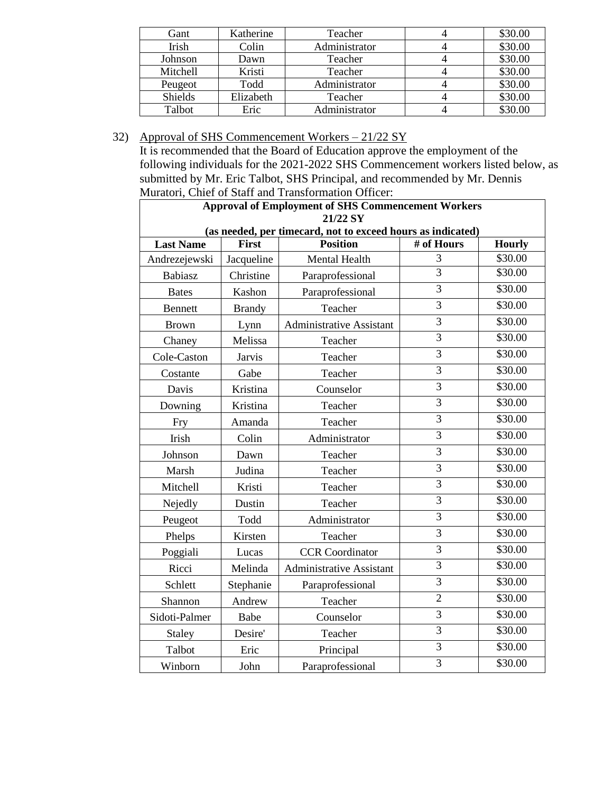| Gant     | Katherine | Teacher       | \$30.00 |
|----------|-----------|---------------|---------|
| Irish    | Colin     | Administrator | \$30.00 |
| Johnson  | Dawn      | Teacher       | \$30.00 |
| Mitchell | Kristi    | Teacher       | \$30.00 |
| Peugeot  | Todd      | Administrator | \$30.00 |
| Shields  | Elizabeth | Teacher       | \$30.00 |
| Talbot   | Eric      | Administrator | \$30.00 |

## 32) Approval of SHS Commencement Workers – 21/22 SY

It is recommended that the Board of Education approve the employment of the following individuals for the 2021-2022 SHS Commencement workers listed below, as submitted by Mr. Eric Talbot, SHS Principal, and recommended by Mr. Dennis Muratori, Chief of Staff and Transformation Officer:

| <b>Approval of Employment of SHS Commencement Workers</b><br>21/22 SY |               |                                                             |                |               |
|-----------------------------------------------------------------------|---------------|-------------------------------------------------------------|----------------|---------------|
|                                                                       |               | (as needed, per timecard, not to exceed hours as indicated) |                |               |
| <b>Last Name</b>                                                      | <b>First</b>  | <b>Position</b>                                             | # of Hours     | <b>Hourly</b> |
| Andrezejewski                                                         | Jacqueline    | <b>Mental Health</b>                                        | 3              | \$30.00       |
| <b>Babiasz</b>                                                        | Christine     | Paraprofessional                                            | $\overline{3}$ | \$30.00       |
| <b>Bates</b>                                                          | Kashon        | Paraprofessional                                            | $\overline{3}$ | \$30.00       |
| <b>Bennett</b>                                                        | <b>Brandy</b> | Teacher                                                     | $\overline{3}$ | \$30.00       |
| <b>Brown</b>                                                          | Lynn          | <b>Administrative Assistant</b>                             | $\overline{3}$ | \$30.00       |
| Chaney                                                                | Melissa       | Teacher                                                     | $\overline{3}$ | \$30.00       |
| Cole-Caston                                                           | <b>Jarvis</b> | Teacher                                                     | $\overline{3}$ | \$30.00       |
| Costante                                                              | Gabe          | Teacher                                                     | $\overline{3}$ | \$30.00       |
| Davis                                                                 | Kristina      | Counselor                                                   | $\overline{3}$ | \$30.00       |
| Downing                                                               | Kristina      | Teacher                                                     | 3              | \$30.00       |
| Fry                                                                   | Amanda        | Teacher                                                     | $\overline{3}$ | \$30.00       |
| Irish                                                                 | Colin         | Administrator                                               | $\overline{3}$ | \$30.00       |
| Johnson                                                               | Dawn          | Teacher                                                     | $\overline{3}$ | \$30.00       |
| Marsh                                                                 | Judina        | Teacher                                                     | $\overline{3}$ | \$30.00       |
| Mitchell                                                              | Kristi        | Teacher                                                     | $\overline{3}$ | \$30.00       |
| Nejedly                                                               | Dustin        | Teacher                                                     | $\overline{3}$ | \$30.00       |
| Peugeot                                                               | Todd          | Administrator                                               | $\overline{3}$ | \$30.00       |
| Phelps                                                                | Kirsten       | Teacher                                                     | $\overline{3}$ | \$30.00       |
| Poggiali                                                              | Lucas         | <b>CCR</b> Coordinator                                      | $\overline{3}$ | \$30.00       |
| Ricci                                                                 | Melinda       | <b>Administrative Assistant</b>                             | $\overline{3}$ | \$30.00       |
| Schlett                                                               | Stephanie     | Paraprofessional                                            | $\overline{3}$ | \$30.00       |
| Shannon                                                               | Andrew        | Teacher                                                     | $\overline{2}$ | \$30.00       |
| Sidoti-Palmer                                                         | Babe          | Counselor                                                   | $\overline{3}$ | \$30.00       |
| Staley                                                                | Desire'       | Teacher                                                     | 3              | \$30.00       |
| Talbot                                                                | Eric          | Principal                                                   | $\overline{3}$ | \$30.00       |
| Winborn                                                               | John          | Paraprofessional                                            | $\overline{3}$ | \$30.00       |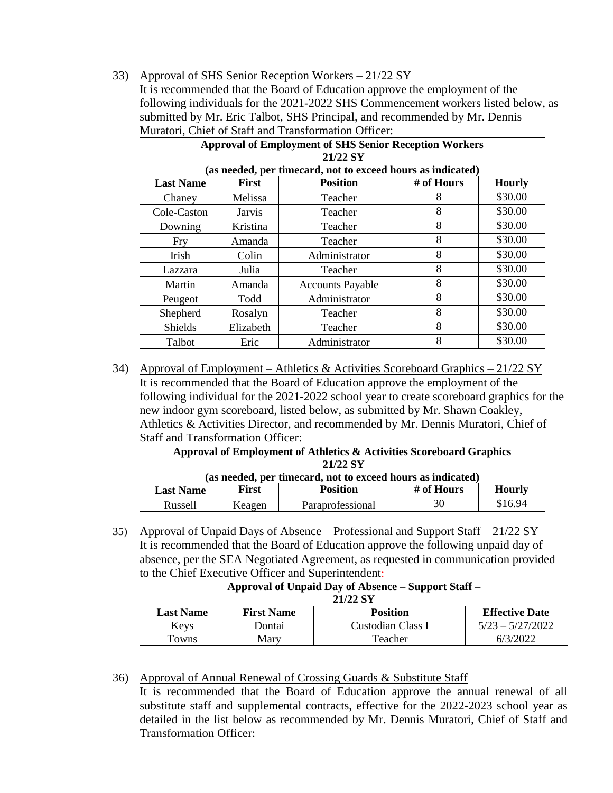#### 33) Approval of SHS Senior Reception Workers – 21/22 SY

It is recommended that the Board of Education approve the employment of the following individuals for the 2021-2022 SHS Commencement workers listed below, as submitted by Mr. Eric Talbot, SHS Principal, and recommended by Mr. Dennis Muratori, Chief of Staff and Transformation Officer:

| <b>Approval of Employment of SHS Senior Reception Workers</b> |                |                                                             |            |               |
|---------------------------------------------------------------|----------------|-------------------------------------------------------------|------------|---------------|
|                                                               |                | 21/22 SY                                                    |            |               |
|                                                               |                | (as needed, per timecard, not to exceed hours as indicated) |            |               |
| <b>Last Name</b>                                              | <b>First</b>   | <b>Position</b>                                             | # of Hours | <b>Hourly</b> |
| Chaney                                                        | <b>Melissa</b> | Teacher                                                     | 8          | \$30.00       |
| Cole-Caston                                                   | Jarvis         | Teacher                                                     | 8          | \$30.00       |
| Downing                                                       | Kristina       | Teacher                                                     | 8          | \$30.00       |
| Fry                                                           | Amanda         | Teacher                                                     | 8          | \$30.00       |
| Irish                                                         | Colin          | Administrator                                               | 8          | \$30.00       |
| Lazzara                                                       | Julia          | Teacher                                                     | 8          | \$30.00       |
| Martin                                                        | Amanda         | <b>Accounts Payable</b>                                     | 8          | \$30.00       |
| Peugeot                                                       | Todd           | Administrator                                               | 8          | \$30.00       |
| Shepherd                                                      | Rosalyn        | Teacher                                                     | 8          | \$30.00       |
| <b>Shields</b>                                                | Elizabeth      | Teacher                                                     | 8          | \$30.00       |
| <b>Talbot</b>                                                 | Eric           | Administrator                                               | 8          | \$30.00       |

34) Approval of Employment – Athletics & Activities Scoreboard Graphics – 21/22 SY It is recommended that the Board of Education approve the employment of the following individual for the 2021-2022 school year to create scoreboard graphics for the new indoor gym scoreboard, listed below, as submitted by Mr. Shawn Coakley, Athletics & Activities Director, and recommended by Mr. Dennis Muratori, Chief of Staff and Transformation Officer:

| Approval of Employment of Athletics & Activities Scoreboard Graphics<br>21/22 SY   |        |                  |    |         |  |
|------------------------------------------------------------------------------------|--------|------------------|----|---------|--|
|                                                                                    |        |                  |    |         |  |
| (as needed, per timecard, not to exceed hours as indicated)                        |        |                  |    |         |  |
| # of Hours<br><b>First</b><br><b>Hourly</b><br><b>Position</b><br><b>Last Name</b> |        |                  |    |         |  |
| Russell                                                                            | Keagen | Paraprofessional | 30 | \$16.94 |  |

35) Approval of Unpaid Days of Absence – Professional and Support Staff – 21/22 SY It is recommended that the Board of Education approve the following unpaid day of absence, per the SEA Negotiated Agreement, as requested in communication provided to the Chief Executive Officer and Superintendent:

| Approval of Unpaid Day of Absence – Support Staff –<br>21/22 SY |                   |                   |                       |
|-----------------------------------------------------------------|-------------------|-------------------|-----------------------|
| <b>Last Name</b>                                                | <b>First Name</b> | <b>Position</b>   | <b>Effective Date</b> |
| Keys                                                            | Dontai            | Custodian Class I | $5/23 - 5/27/2022$    |
| Towns                                                           | Mary              | Teacher           | 6/3/2022              |

36) Approval of Annual Renewal of Crossing Guards & Substitute Staff It is recommended that the Board of Education approve the annual renewal of all substitute staff and supplemental contracts, effective for the 2022-2023 school year as detailed in the list below as recommended by Mr. Dennis Muratori, Chief of Staff and Transformation Officer: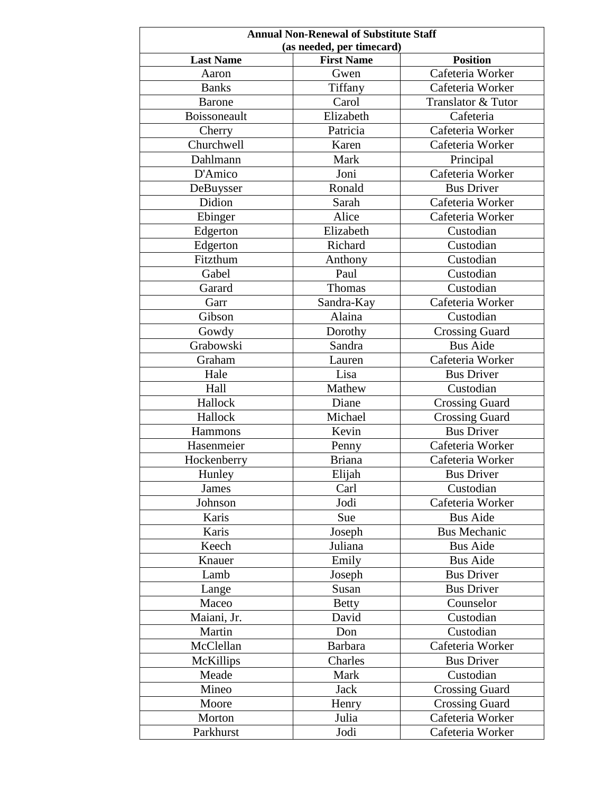| <b>Annual Non-Renewal of Substitute Staff</b> |                           |                                     |  |
|-----------------------------------------------|---------------------------|-------------------------------------|--|
| (as needed, per timecard)                     |                           |                                     |  |
| <b>Last Name</b><br>Aaron                     | <b>First Name</b><br>Gwen | <b>Position</b><br>Cafeteria Worker |  |
|                                               |                           |                                     |  |
| <b>Banks</b>                                  | Tiffany                   | Cafeteria Worker                    |  |
| <b>Barone</b>                                 | Carol                     | Translator & Tutor                  |  |
| Boissoneault                                  | Elizabeth                 | Cafeteria                           |  |
| Cherry                                        | Patricia                  | Cafeteria Worker                    |  |
| Churchwell                                    | Karen                     | Cafeteria Worker                    |  |
| Dahlmann                                      | Mark                      | Principal                           |  |
| D'Amico                                       | Joni                      | Cafeteria Worker                    |  |
| DeBuysser                                     | Ronald                    | <b>Bus Driver</b>                   |  |
| Didion                                        | Sarah                     | Cafeteria Worker                    |  |
| Ebinger                                       | Alice                     | Cafeteria Worker                    |  |
| Edgerton                                      | Elizabeth                 | Custodian                           |  |
| Edgerton                                      | Richard                   | Custodian                           |  |
| Fitzthum                                      | Anthony                   | Custodian                           |  |
| Gabel                                         | Paul                      | Custodian                           |  |
| Garard                                        | Thomas                    | Custodian                           |  |
| Garr                                          | Sandra-Kay                | Cafeteria Worker                    |  |
| Gibson                                        | Alaina                    | Custodian                           |  |
| Gowdy                                         | Dorothy                   | <b>Crossing Guard</b>               |  |
| Grabowski                                     | Sandra                    | <b>Bus Aide</b>                     |  |
| Graham                                        | Lauren                    | Cafeteria Worker                    |  |
| Hale                                          | Lisa                      | <b>Bus Driver</b>                   |  |
| Hall                                          | Mathew                    | Custodian                           |  |
| Hallock                                       | Diane                     | <b>Crossing Guard</b>               |  |
| Hallock                                       | Michael                   | <b>Crossing Guard</b>               |  |
| Hammons                                       | Kevin                     | <b>Bus Driver</b>                   |  |
| Hasenmeier                                    | Penny                     | Cafeteria Worker                    |  |
| Hockenberry                                   | <b>Briana</b>             | Cafeteria Worker                    |  |
| Hunley                                        | Elijah                    | <b>Bus Driver</b>                   |  |
| James                                         | Carl                      | Custodian                           |  |
| Johnson                                       | Jodi                      | Cafeteria Worker                    |  |
| Karis                                         | Sue                       | <b>Bus Aide</b>                     |  |
| Karis                                         | Joseph                    | <b>Bus Mechanic</b>                 |  |
| Keech                                         | Juliana                   | <b>Bus Aide</b>                     |  |
| Knauer                                        | Emily                     | <b>Bus Aide</b>                     |  |
| Lamb                                          | Joseph                    | <b>Bus Driver</b>                   |  |
| Lange                                         | Susan                     | <b>Bus Driver</b>                   |  |
| Maceo                                         | <b>Betty</b>              | Counselor                           |  |
| Maiani, Jr.                                   | David                     | Custodian                           |  |
| Martin                                        | Don                       | Custodian                           |  |
| McClellan                                     | <b>Barbara</b>            | Cafeteria Worker                    |  |
| McKillips                                     | Charles                   | <b>Bus Driver</b>                   |  |
| Meade                                         | Mark                      | Custodian                           |  |
| Mineo                                         | Jack                      | <b>Crossing Guard</b>               |  |
| Moore                                         | Henry                     | <b>Crossing Guard</b>               |  |
| Morton                                        | Julia                     | Cafeteria Worker                    |  |
|                                               |                           |                                     |  |
| Parkhurst                                     | Jodi                      | Cafeteria Worker                    |  |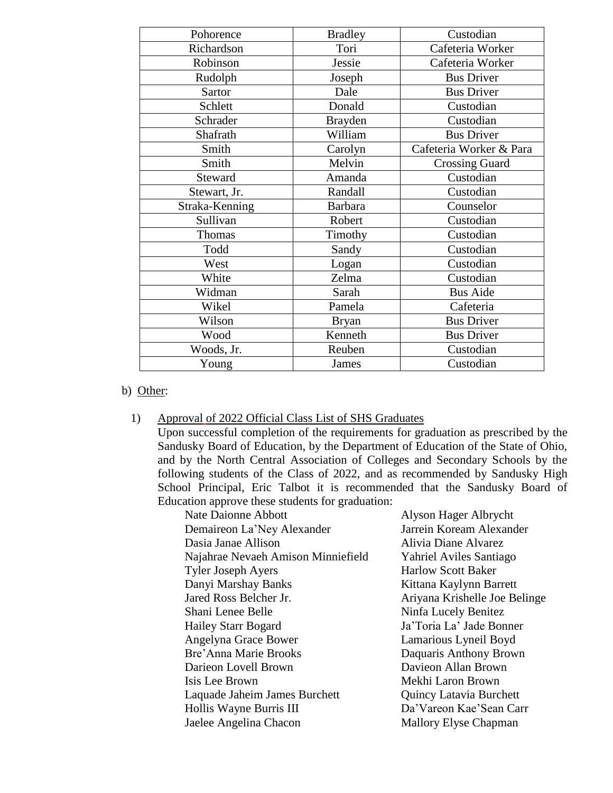| Pohorence      | <b>Bradley</b> | Custodian               |
|----------------|----------------|-------------------------|
| Richardson     | Tori           | Cafeteria Worker        |
| Robinson       | Jessie         | Cafeteria Worker        |
| Rudolph        | Joseph         | <b>Bus Driver</b>       |
| Sartor         | Dale           | <b>Bus Driver</b>       |
| Schlett        | Donald         | Custodian               |
| Schrader       | <b>Brayden</b> | Custodian               |
| Shafrath       | William        | <b>Bus Driver</b>       |
| Smith          | Carolyn        | Cafeteria Worker & Para |
| Smith          | Melvin         | <b>Crossing Guard</b>   |
| Steward        | Amanda         | Custodian               |
| Stewart, Jr.   | Randall        | Custodian               |
| Straka-Kenning | <b>Barbara</b> | Counselor               |
| Sullivan       | Robert         | Custodian               |
| Thomas         | Timothy        | Custodian               |
| Todd           | Sandy          | Custodian               |
| West           | Logan          | Custodian               |
| White          | Zelma          | Custodian               |
| Widman         | Sarah          | <b>Bus Aide</b>         |
| Wikel          | Pamela         | Cafeteria               |
| Wilson         | <b>Bryan</b>   | <b>Bus Driver</b>       |
| Wood           | Kenneth        | <b>Bus Driver</b>       |
| Woods, Jr.     | Reuben         | Custodian               |
| Young          | James          | Custodian               |

#### b) Other:

#### 1) Approval of 2022 Official Class List of SHS Graduates

Upon successful completion of the requirements for graduation as prescribed by the Sandusky Board of Education, by the Department of Education of the State of Ohio, and by the North Central Association of Colleges and Secondary Schools by the following students of the Class of 2022, and as recommended by Sandusky High School Principal, Eric Talbot it is recommended that the Sandusky Board of Education approve these students for graduation:

Nate Daionne Abbott Alyson Hager Albrycht Demaireon La'Ney Alexander Jarrein Koream Alexander Dasia Janae Allison Alivia Diane Alvarez Najahrae Nevaeh Amison Minniefield Yahriel Aviles Santiago Tyler Joseph Ayers Harlow Scott Baker Danyi Marshay Banks Kittana Kaylynn Barrett Jared Ross Belcher Jr. Ariyana Krishelle Joe Belinge Shani Lenee Belle Ninfa Lucely Benitez Hailey Starr Bogard Ja'Toria La' Jade Bonner Angelyna Grace Bower Lamarious Lyneil Boyd Bre'Anna Marie Brooks Daquaris Anthony Brown Darieon Lovell Brown Davieon Allan Brown Isis Lee Brown Mekhi Laron Brown Laquade Jaheim James Burchett Quincy Latavia Burchett Hollis Wayne Burris III Da'Vareon Kae'Sean Carr Jaelee Angelina Chacon Mallory Elyse Chapman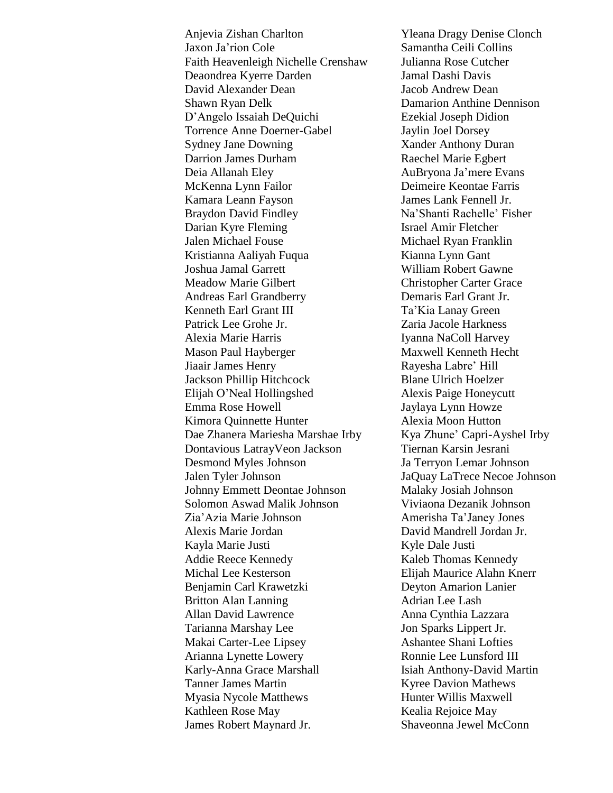Anjevia Zishan Charlton Yleana Dragy Denise Clonch Jaxon Ja'rion Cole Samantha Ceili Collins Faith Heavenleigh Nichelle Crenshaw Julianna Rose Cutcher Deaondrea Kyerre Darden Jamal Dashi Davis David Alexander Dean Jacob Andrew Dean Shawn Ryan Delk Damarion Anthine Dennison D'Angelo Issaiah DeQuichi Ezekial Joseph Didion Torrence Anne Doerner-Gabel Jaylin Joel Dorsey Sydney Jane Downing Xander Anthony Duran Darrion James Durham Raechel Marie Egbert Deia Allanah Eley AuBryona Ja'mere Evans McKenna Lynn Failor Deimeire Keontae Farris Kamara Leann Fayson James Lank Fennell Jr. Braydon David Findley Na'Shanti Rachelle' Fisher Darian Kyre Fleming Israel Amir Fletcher Jalen Michael Fouse Michael Ryan Franklin Kristianna Aaliyah Fuqua Kianna Lynn Gant Joshua Jamal Garrett William Robert Gawne Meadow Marie Gilbert Christopher Carter Grace Andreas Earl Grandberry Demaris Earl Grant Jr. Kenneth Earl Grant III Ta'Kia Lanay Green Patrick Lee Grohe Jr. Zaria Jacole Harkness Alexia Marie Harris Iyanna NaColl Harvey Mason Paul Hayberger Maxwell Kenneth Hecht Jiaair James Henry Rayesha Labre' Hill Jackson Phillip Hitchcock Blane Ulrich Hoelzer Elijah O'Neal Hollingshed Alexis Paige Honeycutt Emma Rose Howell Jaylaya Lynn Howze Kimora Quinnette Hunter Alexia Moon Hutton Dae Zhanera Mariesha Marshae Irby Kya Zhune' Capri-Ayshel Irby Dontavious LatrayVeon Jackson Tiernan Karsin Jesrani Desmond Myles Johnson Ja Terryon Lemar Johnson Jalen Tyler Johnson JaQuay LaTrece Necoe Johnson Johnny Emmett Deontae Johnson Malaky Josiah Johnson Solomon Aswad Malik Johnson Viviaona Dezanik Johnson Zia'Azia Marie Johnson Amerisha Ta'Janey Jones Alexis Marie Jordan David Mandrell Jordan Jr. Kayla Marie Justi Kyle Dale Justi Addie Reece Kennedy Kaleb Thomas Kennedy Michal Lee Kesterson Elijah Maurice Alahn Knerr Benjamin Carl Krawetzki Deyton Amarion Lanier Britton Alan Lanning Adrian Lee Lash Allan David Lawrence Anna Cynthia Lazzara Tarianna Marshay Lee Jon Sparks Lippert Jr. Makai Carter-Lee Lipsey Ashantee Shani Lofties Arianna Lynette Lowery Ronnie Lee Lunsford III Karly-Anna Grace Marshall Isiah Anthony-David Martin Tanner James Martin Kyree Davion Mathews Myasia Nycole Matthews Hunter Willis Maxwell Kathleen Rose May Kealia Rejoice May James Robert Maynard Jr. Shaveonna Jewel McConn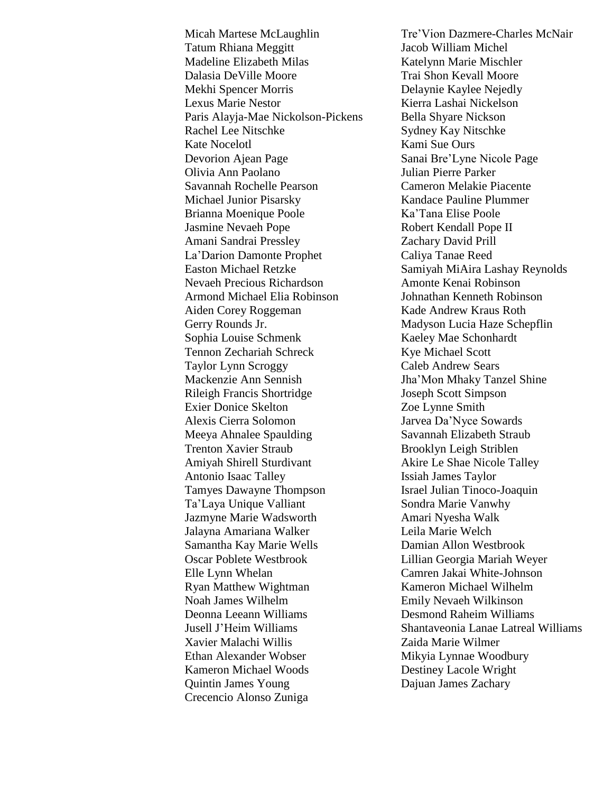Tatum Rhiana Meggitt Jacob William Michel Madeline Elizabeth Milas Katelynn Marie Mischler Dalasia DeVille Moore Trai Shon Kevall Moore Mekhi Spencer Morris Delaynie Kaylee Nejedly Lexus Marie Nestor **Kierra Lashai Nickelson** Paris Alayja-Mae Nickolson-Pickens Bella Shyare Nickson Rachel Lee Nitschke Sydney Kay Nitschke Kate Nocelotl Kami Sue Ours Devorion Ajean Page Sanai Bre'Lyne Nicole Page Olivia Ann Paolano Julian Pierre Parker Savannah Rochelle Pearson Cameron Melakie Piacente Michael Junior Pisarsky Kandace Pauline Plummer Brianna Moenique Poole Ka'Tana Elise Poole Jasmine Nevaeh Pope Robert Kendall Pope II Amani Sandrai Pressley Zachary David Prill La'Darion Damonte Prophet Caliya Tanae Reed Easton Michael Retzke Samiyah MiAira Lashay Reynolds Nevaeh Precious Richardson Amonte Kenai Robinson Armond Michael Elia Robinson Johnathan Kenneth Robinson Aiden Corey Roggeman Kade Andrew Kraus Roth Gerry Rounds Jr. Madyson Lucia Haze Schepflin Sophia Louise Schmenk Kaeley Mae Schonhardt Tennon Zechariah Schreck Kye Michael Scott Taylor Lynn Scroggy Caleb Andrew Sears Mackenzie Ann Sennish Jha'Mon Mhaky Tanzel Shine Rileigh Francis Shortridge Joseph Scott Simpson Exier Donice Skelton Zoe Lynne Smith Alexis Cierra Solomon Jarvea Da'Nyce Sowards Meeya Ahnalee Spaulding Savannah Elizabeth Straub Trenton Xavier Straub Brooklyn Leigh Striblen Amiyah Shirell Sturdivant Akire Le Shae Nicole Talley Antonio Isaac Talley Issiah James Taylor Tamyes Dawayne Thompson Israel Julian Tinoco-Joaquin Ta'Laya Unique Valliant Sondra Marie Vanwhy Jazmyne Marie Wadsworth Amari Nyesha Walk Jalayna Amariana Walker Leila Marie Welch Samantha Kay Marie Wells Damian Allon Westbrook Oscar Poblete Westbrook Lillian Georgia Mariah Weyer Elle Lynn Whelan Camren Jakai White-Johnson Ryan Matthew Wightman Kameron Michael Wilhelm Noah James Wilhelm Emily Nevaeh Wilkinson Deonna Leeann Williams Desmond Raheim Williams Xavier Malachi Willis Zaida Marie Wilmer Ethan Alexander Wobser Mikyia Lynnae Woodbury Kameron Michael Woods Destiney Lacole Wright Quintin James Young Dajuan James Zachary Crecencio Alonso Zuniga

Micah Martese McLaughlin Tre'Vion Dazmere-Charles McNair Jusell J'Heim Williams Shantaveonia Lanae Latreal Williams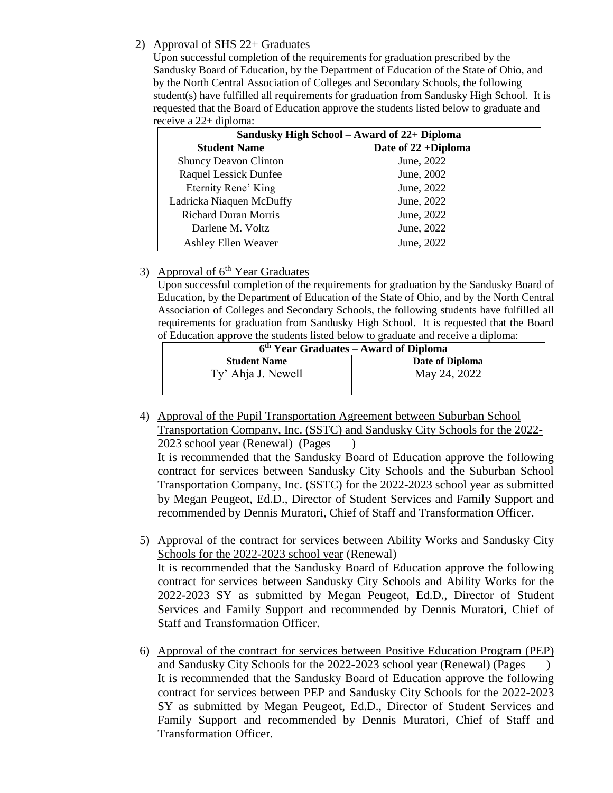## 2) Approval of SHS 22+ Graduates

Upon successful completion of the requirements for graduation prescribed by the Sandusky Board of Education, by the Department of Education of the State of Ohio, and by the North Central Association of Colleges and Secondary Schools, the following student(s) have fulfilled all requirements for graduation from Sandusky High School. It is requested that the Board of Education approve the students listed below to graduate and receive a 22+ diploma:

| Sandusky High School – Award of 22+ Diploma |                     |  |
|---------------------------------------------|---------------------|--|
| <b>Student Name</b>                         | Date of 22 +Diploma |  |
| <b>Shuncy Deavon Clinton</b>                | June, 2022          |  |
| <b>Raquel Lessick Dunfee</b>                | June, 2002          |  |
| Eternity Rene' King                         | June, 2022          |  |
| Ladricka Niaquen McDuffy                    | June, 2022          |  |
| <b>Richard Duran Morris</b>                 | June, 2022          |  |
| Darlene M. Voltz                            | June, 2022          |  |
| Ashley Ellen Weaver                         | June, 2022          |  |

## 3) Approval of 6<sup>th</sup> Year Graduates

Upon successful completion of the requirements for graduation by the Sandusky Board of Education, by the Department of Education of the State of Ohio, and by the North Central Association of Colleges and Secondary Schools, the following students have fulfilled all requirements for graduation from Sandusky High School. It is requested that the Board of Education approve the students listed below to graduate and receive a diploma:

| r masamon approve the statemes hole ovious to graduate and recenve a dipromat |                 |  |
|-------------------------------------------------------------------------------|-----------------|--|
| 6 <sup>th</sup> Year Graduates – Award of Diploma                             |                 |  |
| <b>Student Name</b>                                                           | Date of Diploma |  |
| Ty' Ahja J. Newell                                                            | May 24, 2022    |  |
|                                                                               |                 |  |

4) Approval of the Pupil Transportation Agreement between Suburban School Transportation Company, Inc. (SSTC) and Sandusky City Schools for the 2022- 2023 school year (Renewal) (Pages )

It is recommended that the Sandusky Board of Education approve the following contract for services between Sandusky City Schools and the Suburban School Transportation Company, Inc. (SSTC) for the 2022-2023 school year as submitted by Megan Peugeot, Ed.D., Director of Student Services and Family Support and recommended by Dennis Muratori, Chief of Staff and Transformation Officer.

- 5) Approval of the contract for services between Ability Works and Sandusky City Schools for the 2022-2023 school year (Renewal) It is recommended that the Sandusky Board of Education approve the following contract for services between Sandusky City Schools and Ability Works for the 2022-2023 SY as submitted by Megan Peugeot, Ed.D., Director of Student Services and Family Support and recommended by Dennis Muratori, Chief of Staff and Transformation Officer.
- 6) Approval of the contract for services between Positive Education Program (PEP) and Sandusky City Schools for the 2022-2023 school year (Renewal) (Pages ) It is recommended that the Sandusky Board of Education approve the following contract for services between PEP and Sandusky City Schools for the 2022-2023 SY as submitted by Megan Peugeot, Ed.D., Director of Student Services and Family Support and recommended by Dennis Muratori, Chief of Staff and Transformation Officer.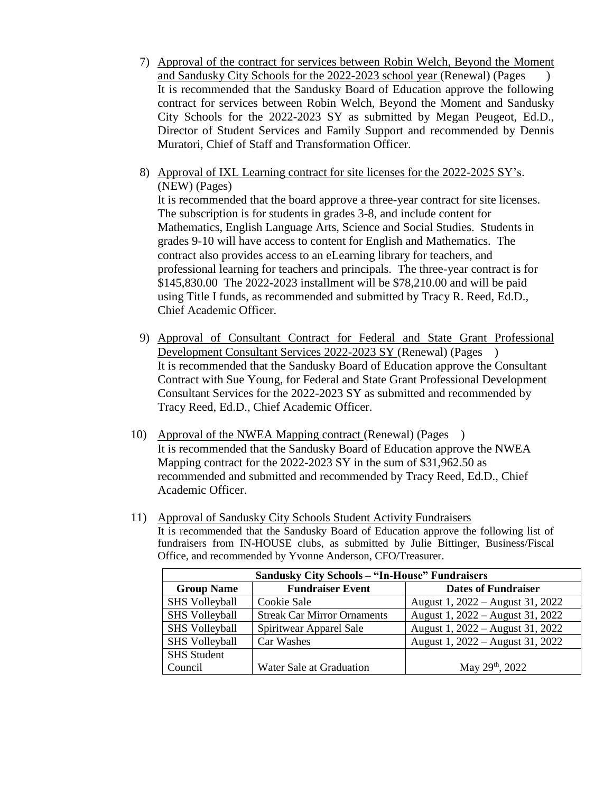- 7) Approval of the contract for services between Robin Welch, Beyond the Moment and Sandusky City Schools for the 2022-2023 school year (Renewal) (Pages ) It is recommended that the Sandusky Board of Education approve the following contract for services between Robin Welch, Beyond the Moment and Sandusky City Schools for the 2022-2023 SY as submitted by Megan Peugeot, Ed.D., Director of Student Services and Family Support and recommended by Dennis Muratori, Chief of Staff and Transformation Officer.
- 8) Approval of IXL Learning contract for site licenses for the 2022-2025 SY's. (NEW) (Pages)

It is recommended that the board approve a three-year contract for site licenses. The subscription is for students in grades 3-8, and include content for Mathematics, English Language Arts, Science and Social Studies. Students in grades 9-10 will have access to content for English and Mathematics. The contract also provides access to an eLearning library for teachers, and professional learning for teachers and principals. The three-year contract is for \$145,830.00 The 2022-2023 installment will be \$78,210.00 and will be paid using Title I funds, as recommended and submitted by Tracy R. Reed, Ed.D., Chief Academic Officer.

- 9) Approval of Consultant Contract for Federal and State Grant Professional Development Consultant Services 2022-2023 SY (Renewal) (Pages ) It is recommended that the Sandusky Board of Education approve the Consultant Contract with Sue Young, for Federal and State Grant Professional Development Consultant Services for the 2022-2023 SY as submitted and recommended by Tracy Reed, Ed.D., Chief Academic Officer.
- 10) Approval of the NWEA Mapping contract (Renewal) (Pages ) It is recommended that the Sandusky Board of Education approve the NWEA Mapping contract for the 2022-2023 SY in the sum of \$31,962.50 as recommended and submitted and recommended by Tracy Reed, Ed.D., Chief Academic Officer.
- 11) Approval of Sandusky City Schools Student Activity Fundraisers It is recommended that the Sandusky Board of Education approve the following list of fundraisers from IN-HOUSE clubs, as submitted by Julie Bittinger, Business/Fiscal Office, and recommended by Yvonne Anderson, CFO/Treasurer.

| <b>Sandusky City Schools - "In-House" Fundraisers</b> |                                    |                                  |  |
|-------------------------------------------------------|------------------------------------|----------------------------------|--|
| <b>Group Name</b>                                     | <b>Fundraiser Event</b>            | <b>Dates of Fundraiser</b>       |  |
| <b>SHS Volleyball</b>                                 | Cookie Sale                        | August 1, 2022 – August 31, 2022 |  |
| <b>SHS Volleyball</b>                                 | <b>Streak Car Mirror Ornaments</b> | August 1, 2022 – August 31, 2022 |  |
| <b>SHS Volleyball</b>                                 | Spiritwear Apparel Sale            | August 1, 2022 – August 31, 2022 |  |
| <b>SHS Volleyball</b>                                 | Car Washes                         | August 1, 2022 – August 31, 2022 |  |
| <b>SHS</b> Student                                    |                                    |                                  |  |
| Council                                               | Water Sale at Graduation           | May 29th, 2022                   |  |